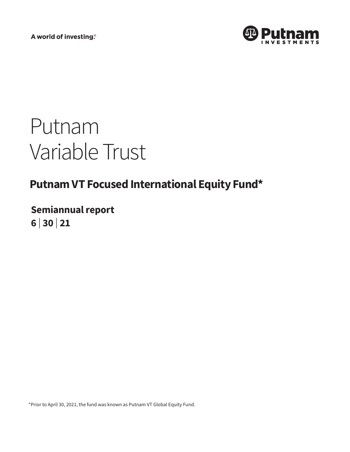

# Putnam Variable Trust

# **Putnam VT Focused International Equity Fund\***

**Semiannual report 6 <sup>|</sup> 30 <sup>|</sup> 21**

\*Prior to April 30, 2021, the fund was known as Putnam VT Global Equity Fund.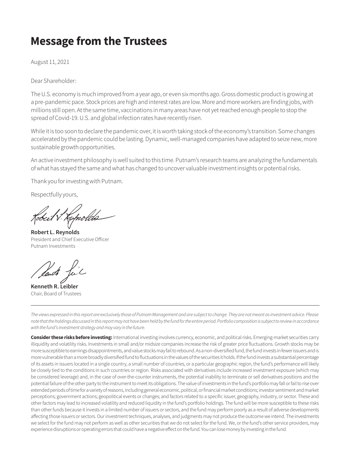# **Message from the Trustees**

August 11, 2021

Dear Shareholder:

The U.S. economy is much improved from a year ago, or even six months ago. Gross domestic product is growing at a pre-pandemic pace. Stock prices are high and interest rates are low. More and more workers are finding jobs, with millions still open. At the same time, vaccinations in many areas have not yet reached enough people to stop the spread of Covid-19. U.S. and global infection rates have recently risen.

While it is too soon to declare the pandemic over, it is worth taking stock of the economy's transition. Some changes accelerated by the pandemic could be lasting. Dynamic, well-managed companies have adapted to seize new, more sustainable growth opportunities.

An active investment philosophy is well suited to this time. Putnam's research teams are analyzing the fundamentals of what has stayed the same and what has changed to uncover valuable investment insights or potential risks.

Thank you for investing with Putnam.

Respectfully yours,

**Robert L. Reynolds** President and Chief Executive Officer Putnam Investments

**Kenneth R. Leibler** Chair, Board of Trustees

*The views expressed in this report are exclusively those of Putnam Management and are subject to change. They are not meant as investment advice. Please note that the holdings discussed in this report may not have been held by the fund for the entire period. Portfolio composition is subject to review in accordance with the fund's investment strategy and may vary in the future.*

**Consider these risks before investing:** International investing involves currency, economic, and political risks. Emerging-market securities carry illiquidity and volatility risks. Investments in small and/or midsize companies increase the risk of greater price fluctuations. Growth stocks may be more susceptible to earnings disappointments, and value stocks may fail to rebound. As a non-diversified fund, the fund invests in fewer issuers and is more vulnerable than a more broadly diversified fund to fluctuations in the values of the securities it holds. If the fund invests a substantial percentage of its assets in issuers located in a single country, a small number of countries, or a particular geographic region, the fund's performance will likely be closely tied to the conditions in such countries or region. Risks associated with derivatives include increased investment exposure (which may be considered leverage) and, in the case of over-the-counter instruments, the potential inability to terminate or sell derivatives positions and the potential failure of the other party to the instrument to meet its obligations. The value of investments in the fund's portfolio may fall or fail to rise over extended periods of time for a variety of reasons, including general economic, political, or financial market conditions; investor sentiment and market perceptions; government actions; geopolitical events or changes; and factors related to a specific issuer, geography, industry, or sector. These and other factors may lead to increased volatility and reduced liquidity in the fund's portfolio holdings. The fund will be more susceptible to these risks than other funds because it invests in a limited number of issuers or sectors, and the fund may perform poorly as a result of adverse developments affecting those issuers or sectors. Our investment techniques, analyses, and judgments may not produce the outcome we intend. The investments we select for the fund may not perform as well as other securities that we do not select for the fund. We, or the fund's other service providers, may experience disruptions or operating errors that could have a negative effect on the fund. You can lose money by investing in the fund.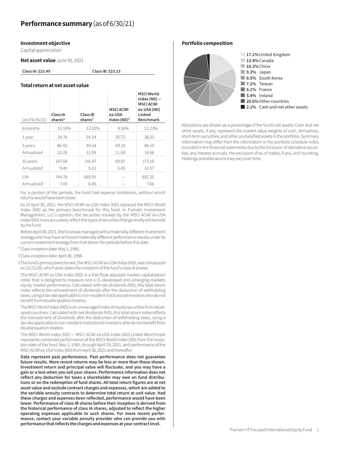#### **Investment objective**

Capital appreciation

**Net asset value** June 30, 2021

**Class IA: \$23.49 Class IB: \$23.23**

# **Total return at net asset value**

| (as of 6/30/21) | Class IA<br>shares* | Class IB<br>shares <sup>t</sup> | <b>MSCIACWI</b><br>ex-USA<br>Index $(ND)^{\ddagger}$ | <b>MSCI World</b><br>$Index (ND)$ –<br><b>MSCI ACWI</b><br>ex-USA (ND)<br>Linked<br><b>Benchmark</b> |
|-----------------|---------------------|---------------------------------|------------------------------------------------------|------------------------------------------------------------------------------------------------------|
| 6 months        | 13.18%              | 13.02%                          | 9.16%                                                | 12.23%                                                                                               |
| 1 year          | 34.76               | 34.34                           | 35.72                                                | 38.03                                                                                                |
| 5 years         | 86.55               | 84.14                           | 69.10                                                | 98.19                                                                                                |
| Annualized      | 13.28               | 12.99                           | 11.08                                                | 14.66                                                                                                |
| 10 years        | 147.58              | 141.47                          | 69.97                                                | 173.16                                                                                               |
| Annualized      | 9.49                | 9.22                            | 5.45                                                 | 10.57                                                                                                |
| l ife           | 744.78              | 689.95                          |                                                      | 892.20                                                                                               |
| Annualized      | 7.09                | 6.86                            |                                                      | 7.66                                                                                                 |

For a portion of the periods, the fund had expense limitations, without which returns would have been lower.

As of April 30, 2021, the MSCI ACWI ex-USA Index (ND) replaced the MSCI World Index (ND) as the primary benchmark for this fund. In Putnam Investment Management, LLC's opinion, the securities tracked by the MSCI ACWI ex-USA Index (ND) more accurately reflect the types of securities that generally will be held by the fund.

Before April 30, 2021, the fund was managed with a materially different investment strategy and may have achieved materially different performance results under its current investment strategy from that shown for periods before this date.

\*Class inception date: May 1, 1990.

†Class inception date: April 30, 1998.

‡The fund's primary benchmark, the MSCI ACWI ex-USA Index (ND), was introduced on 12/31/00, which post-dates the inception of the fund's class IA shares.

The MSCI ACWI ex-USA Index (ND) is a free float-adjusted market capitalization index that is designed to measure non-U.S.-developed and emerging-markets equity market performance. Calculated with net dividends (ND), this total return index reflects the reinvestment of dividends after the deduction of withholding taxes, using a tax rate applicable to non-resident institutional investors who do not benefit from double taxation treaties.

The MSCI World Index (ND) is an unmanaged index of equity securities from developed countries. Calculated with net dividends (ND), this total return index reflects the reinvestment of dividends after the deduction of withholding taxes, using a tax rate applicable to non-resident institutional investors who do not benefit from double taxation treaties.

The MSCI World Index (ND) — MSCI ACWI ex-USA Index (ND) Linked Benchmark represents combined performance of the MSCI World Index (ND) from the inception date of the fund, May 1, 1990, through April 29, 2021, and performance of the MSCI ACWI ex-USA Index (ND) from April 30, 2021 and thereafter.

**Data represent past performance. Past performance does not guarantee future results. More recent returns may be less or more than those shown. Investment return and principal value will fluctuate, and you may have a gain or a loss when you sell your shares. Performance information does not reflect any deduction for taxes a shareholder may owe on fund distributions or on the redemption of fund shares. All total return figures are at net asset value and exclude contract charges and expenses, which are added to the variable annuity contracts to determine total return at unit value. Had these charges and expenses been reflected, performance would have been lower. Performance of class IB shares before their inception is derived from the historical performance of class IA shares, adjusted to reflect the higher operating expenses applicable to such shares. For more recent performance, contact your variable annuity provider who can provide you with performance that reflects the charges and expenses at your contract level.**

**Portfolio composition**



Allocations are shown as a percentage of the fund's net assets. Cash and net other assets, if any, represent the market value weights of cash, derivatives, short-term securities, and other unclassified assets in the portfolio. Summary information may differ from the information in the portfolio schedule notes included in the financial statements due to the inclusion of derivative securities, any interest accruals, the exclusion of as-of trades, if any, and rounding. Holdings and allocations may vary over time.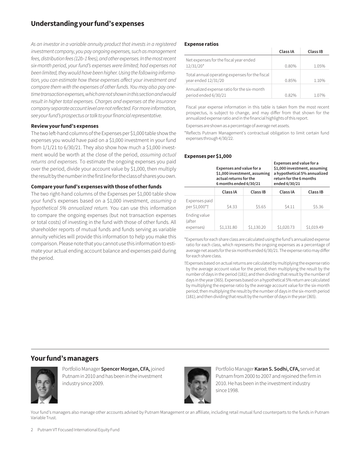# **Understanding your fund's expenses**

*As an investor in a variable annuity product that invests in a registered investment company, you pay ongoing expenses, such as management fees, distribution fees (12b-1 fees), and other expenses. In the most recent six-month period, your fund's expenses were limited; had expenses not been limited, they would have been higher. Using the following information, you can estimate how these expenses affect your investment and compare them with the expenses of other funds. You may also pay onetime transaction expenses, which are not shown in this section and would result in higher total expenses. Charges and expenses at the insurance company separate account level are not reflected. For more information, see your fund's prospectus or talk to your financial representative.*

#### **Review your fund's expenses**

The two left-hand columns of the Expenses per \$1,000 table show the expenses you would have paid on a \$1,000 investment in your fund from  $1/1/21$  to  $6/30/21$ . They also show how much a \$1,000 investment would be worth at the close of the period, *assuming actual returns and expenses.* To estimate the ongoing expenses you paid over the period, divide your account value by \$1,000, then multiply the result by the number in the first line for the class of shares you own.

#### **Compare your fund's expenses with those of other funds**

The two right-hand columns of the Expenses per \$1,000 table show your fund's expenses based on a \$1,000 investment, *assuming a hypothetical 5% annualized return.* You can use this information to compare the ongoing expenses (but not transaction expenses or total costs) of investing in the fund with those of other funds. All shareholder reports of mutual funds and funds serving as variable annuity vehicles will provide this information to help you make this comparison. Please note that you cannot use this information to estimate your actual ending account balance and expenses paid during the period.

#### **Expense ratios**

|                                                                       | Class IA | Class IB |
|-----------------------------------------------------------------------|----------|----------|
| Net expenses for the fiscal year ended<br>$12/31/20*$                 | 0.80%    | 1.05%    |
| Total annual operating expenses for the fiscal<br>year ended 12/31/20 | 0.85%    | 1.10%    |
| Annualized expense ratio for the six-month<br>period ended 6/30/21    | 0.82%    |          |

Fiscal year expense information in this table is taken from the most recent prospectus, is subject to change, and may differ from that shown for the annualized expense ratio and in the financial highlights of this report.

Expenses are shown as a percentage of average net assets.

\*Reflects Putnam Management's contractual obligation to limit certain fund expenses through 4/30/22.

#### **Expenses per \$1,000**

|                                     | Expenses and value for a<br>\$1,000 investment, assuming<br>actual returns for the<br>6 months ended 6/30/21 |            | Expenses and value for a<br>\$1,000 investment, assuming<br>a hypothetical 5% annualized<br>return for the 6 months<br>ended 6/30/21 |            |
|-------------------------------------|--------------------------------------------------------------------------------------------------------------|------------|--------------------------------------------------------------------------------------------------------------------------------------|------------|
|                                     | Class IA                                                                                                     | Class IB   | Class IA                                                                                                                             | Class IB   |
| Expenses paid<br>per \$1,000*†      | \$4.33                                                                                                       | \$5.65     | <i><b>S4.11</b></i>                                                                                                                  | \$5.36     |
| Ending value<br>(after<br>expenses) | \$1,131.80                                                                                                   | \$1,130.20 | \$1,020.73                                                                                                                           | \$1,019.49 |

\*Expenses for each share class are calculated using the fund's annualized expense ratio for each class, which represents the ongoing expenses as a percentage of average net assets for the six months ended 6/30/21. The expense ratio may differ for each share class.

†Expenses based on actual returns are calculated by multiplying the expense ratio by the average account value for the period; then multiplying the result by the number of days in the period (181); and then dividing that result by the number of days in the year (365). Expenses based on a hypothetical 5% return are calculated by multiplying the expense ratio by the average account value for the six-month period; then multiplying the result by the number of days in the six-month period (181); and then dividing that result by the number of days in the year (365).

#### **Your fund's managers**



Portfolio Manager **Spencer Morgan, CFA,** joined Putnam in 2010 and has been in the investment industry since 2009.



Portfolio Manager **Karan S. Sodhi, CFA,** served at Putnam from 2000 to 2007 and rejoined the firm in 2010. He has been in the investment industry since 1998.

Your fund's managers also manage other accounts advised by Putnam Management or an affiliate, including retail mutual fund counterparts to the funds in Putnam Variable Trust.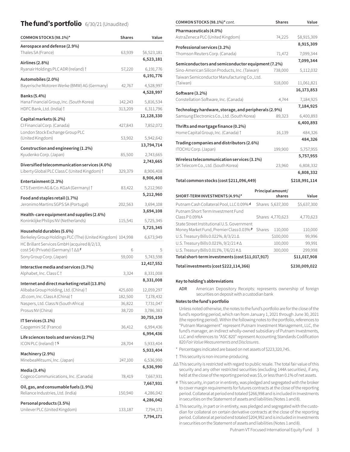# **The fund's portfolio** 6/30/21 (Unaudited)

| COMMON STOCKS (98.1%)*                                                            | <b>Shares</b> | Value                  |
|-----------------------------------------------------------------------------------|---------------|------------------------|
| Aerospace and defense (2.9%)                                                      |               |                        |
| Thales SA (France)                                                                | 63,939        | \$6,523,181            |
|                                                                                   |               | 6,523,181              |
| Airlines (2.8%)                                                                   |               |                        |
| Ryanair Holdings PLC ADR (Ireland) †                                              | 57,220        | 6,191,776              |
| Automobiles (2.0%)                                                                |               | 6,191,776              |
| Bayerische Motoren Werke (BMW) AG (Germany)                                       | 42,767        | 4,528,997              |
| Banks (5.4%)                                                                      |               | 4,528,997              |
| Hana Financial Group, Inc. (South Korea)                                          | 142,243       | 5,816,534              |
| HDFC Bank, Ltd. (India) †                                                         | 313,209       | 6,311,796              |
| Capital markets (6.2%)                                                            |               | 12,128,330             |
| CI Financial Corp. (Canada)                                                       | 427,843       | 7,852,072              |
| London Stock Exchange Group PLC                                                   |               |                        |
| (United Kingdom)                                                                  | 53,902        | 5,942,642              |
| Construction and engineering (1.2%)                                               |               | 13,794,714             |
| Kyudenko Corp. (Japan)                                                            | 85,500        | 2,743,665              |
|                                                                                   |               | 2,743,665              |
| Diversified telecommunication services (4.0%)                                     |               |                        |
| Liberty Global PLC Class C (United Kingdom) †                                     | 329,379       | 8,906,408              |
| Entertainment (2.3%)                                                              |               | 8,906,408              |
| CTS Eventim AG & Co. KGaA (Germany) †                                             | 83,422        | 5,212,960              |
| Food and staples retail (1.7%)                                                    |               | 5,212,960              |
| Jeronimo Martins SGPS SA (Portugal)                                               | 202,563       | 3,694,108              |
|                                                                                   |               | 3,694,108              |
| Health-care equipment and supplies (2.6%)<br>Koninklijke Philips NV (Netherlands) |               |                        |
|                                                                                   | 115,541       | 5,725,345<br>5,725,345 |
| Household durables (5.6%)                                                         |               |                        |
| Berkeley Group Holdings PLC (The) (United Kingdom) 104,998                        |               | 6,673,949              |
| HC Brillant Services GmbH (acquired 8/2/13,                                       |               |                        |
| cost \$4) (Private) (Germany) † ∆∆ F<br>Sony Group Corp. (Japan)                  | 6<br>59,000   | 5<br>5,743,598         |
|                                                                                   |               | 12,417,552             |
| Interactive media and services (3.7%)                                             |               |                        |
| Alphabet, Inc. Class C                                                            | 3,324         | 8,331,008              |
| Internet and direct marketing retail (13.8%)                                      |               | 8,331,008              |
| Alibaba Group Holding, Ltd. (China) †                                             | 425,600       | 12,059,297             |
| JD.com, Inc. Class A (China) †                                                    | 182,500       | 7,178,432              |
| Naspers, Ltd. Class N (South Africa)                                              | 36,822        | 7,731,047              |
| Prosus NV (China)                                                                 | 38,720        | 3,786,383              |
| IT Services (3.1%)                                                                |               | 30,755,159             |
| Capgemini SE (France)                                                             | 36,412        | 6,994,436              |
|                                                                                   |               | 6,994,436              |
| Life sciences tools and services (2.7%)                                           |               |                        |
| ICON PLC (Ireland) † S                                                            | 28,704        | 5,933,404<br>5,933,404 |
| Machinery (2.9%)                                                                  |               |                        |
| MinebeaMitsumi, Inc. (Japan)                                                      | 247,100       | 6,536,990              |
| Media (3.4%)                                                                      |               | 6,536,990              |
| Cogeco Communications, Inc. (Canada)                                              | 78,419        | 7,667,931              |
|                                                                                   |               | 7,667,931              |
| Oil, gas, and consumable fuels (1.9%)                                             |               |                        |
| Reliance Industries, Ltd. (India)                                                 | 150,940       | 4,286,042<br>4,286,042 |
| Personal products (3.5%)                                                          |               |                        |
| Unilever PLC (United Kingdom)                                                     | 133,187       | 7,794,171              |
|                                                                                   |               | 7,794,171              |

| COMMON STOCKS (98.1%)* cont.                         | <b>Shares</b>     | Value         |
|------------------------------------------------------|-------------------|---------------|
| Pharmaceuticals (4.0%)                               |                   |               |
| AstraZeneca PLC (United Kingdom)                     | 74,225            | \$8,915,309   |
| Professional services (3.2%)                         |                   | 8,915,309     |
| Thomson Reuters Corp. (Canada)                       | 71,472            | 7,099,344     |
| Semiconductors and semiconductor equipment (7.2%)    |                   | 7,099,344     |
| Sino-American Silicon Products, Inc. (Taiwan)        | 738,000           | 5,112,032     |
| Taiwan Semiconductor Manufacturing Co., Ltd.         |                   |               |
| (Taiwan)                                             | 518,000           | 11,061,821    |
| Software (3.2%)                                      |                   | 16,173,853    |
| Constellation Software, Inc. (Canada)                | 4,744             | 7,184,925     |
| Technology hardware, storage, and peripherals (2.9%) |                   | 7,184,925     |
| Samsung Electronics Co., Ltd. (South Korea)          | 89,323            | 6,400,893     |
| Thrifts and mortgage finance (0.2%)                  |                   | 6,400,893     |
| Home Capital Group, Inc. (Canada) †                  | 16,139            | 484,326       |
| Trading companies and distributors (2.6%)            |                   | 484,326       |
| ITOCHU Corp. (Japan)                                 | 199,900           | 5,757,955     |
| Wireless telecommunication services (3.1%)           |                   | 5,757,955     |
| SK Telecom Co., Ltd. (South Korea)                   | 23,960            | 6,808,332     |
|                                                      |                   | 6,808,332     |
| Total common stocks (cost \$211,096,449)             |                   | \$218,991,114 |
|                                                      | Principal amount/ |               |
| SHORT-TERM INVESTMENTS (4.9%)*                       | shares            | Value         |
| Putnam Cash Collateral Pool, LLC 0.09% d             | Shares 5,637,300  | \$5,637,300   |

| Total investments (cost \$222,114,366)                                                 |        |                  | \$230,009,022 |
|----------------------------------------------------------------------------------------|--------|------------------|---------------|
| Total short-term investments (cost \$11,017,917)                                       |        |                  | \$11,017,908  |
| U.S. Treasury Bills 0.011%, $7/6/21 \# \Delta$                                         |        | 300,000          | 299,998       |
| U.S. Treasury Bills 0.021%, $9/2/21 \# \Delta$                                         |        | 100,000          | 99.991        |
| U.S. Treasury Bills 0.022%, 8/3/21 A                                                   |        | \$100,000        | 99,996        |
| State Street Institutional U.S. Government<br>Money Market Fund, Premier Class 0.03% P | Shares | 110.000          | 110,000       |
| Putnam Short Term Investment Fund<br>Class P0.09% $L$                                  |        | Shares 4,770,623 | 4,770,623     |
| Putnam Cash Collateral Pool, LLC 0.09% d                                               |        | Shares 5,637,300 | \$5,637,300   |

#### **Key to holding's abbreviations**

ADR American Depository Receipts: represents ownership of foreign securities on deposit with a custodian bank

#### **Notes to the fund's portfolio**

Unless noted otherwise, the notes to the fund's portfolio are for the close of the fund's reporting period, which ran from January 1, 2021 through June 30, 2021 (the reporting period). Within the following notes to the portfolio, references to "Putnam Management" represent Putnam Investment Management, LLC, the fund's manager, an indirect wholly-owned subsidiary of Putnam Investments, LLC and references to "ASC 820" represent Accounting Standards Codification 820 *Fair Value Measurements and Disclosures*.

- \* Percentages indicated are based on net assets of \$223,320,745.
- † This security is non-income-producing.
- ∆∆ This security is restricted with regard to public resale. The total fair value of this security and any other restricted securities (excluding 144A securities), if any, held at the close of the reporting period was \$5, or less than 0.1% of net assets.
- # This security, in part or in entirety, was pledged and segregated with the broker to cover margin requirements for futures contracts at the close of the reporting period. Collateral at period end totaled \$266,998 and is included in Investments in securities on the Statement of assets and liabilities (Notes 1 and 8).
- ∆ This security, in part or in entirety, was pledged and segregated with the custodian for collateral on certain derivative contracts at the close of the reporting period. Collateral at period end totaled \$204,992 and is included in Investments in securities on the Statement of assets and liabilities (Notes 1 and 8).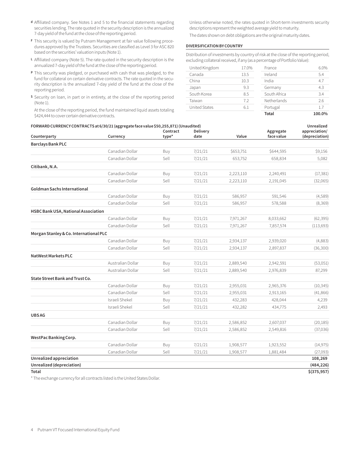- **<sup>d</sup>** Affiliated company. See Notes 1 and 5 to the financial statements regarding securities lending. The rate quoted in the security description is the annualized 7-day yield of the fund at the close of the reporting period.
- **<sup>F</sup>** This security is valued by Putnam Management at fair value following procedures approved by the Trustees. Securities are classified as Level 3 for ASC 820 based on the securities' valuation inputs (Note 1).
- **<sup>L</sup>** Affiliated company (Note 5). The rate quoted in the security description is the annualized 7-day yield of the fund at the close of the reporting period.
- **<sup>P</sup>** This security was pledged, or purchased with cash that was pledged, to the fund for collateral on certain derivative contracts. The rate quoted in the security description is the annualized 7-day yield of the fund at the close of the reporting period.
- **<sup>S</sup>** Security on loan, in part or in entirety, at the close of the reporting period (Note 1).

At the close of the reporting period, the fund maintained liquid assets totaling \$424,444 to cover certain derivative contracts.

Unless otherwise noted, the rates quoted in Short-term investments security descriptions represent the weighted average yield to maturity.

The dates shown on debt obligations are the original maturity dates.

#### **DIVERSIFICATION BY COUNTRY**

Distribution of investments by country of risk at the close of the reporting period, excluding collateral received, if any (as a percentage of Portfolio Value):

| United Kingdom       | 17.0% | France       | $6.0\%$ |
|----------------------|-------|--------------|---------|
| Canada               | 13.5  | Ireland      | 5.4     |
| China                | 10.3  | India        | 4.7     |
| Japan                | 9.3   | Germany      | 4.3     |
| South Korea          | 8.5   | South Africa | 3.4     |
| Taiwan               | 72    | Netherlands  | 2.6     |
| <b>United States</b> | 61    | Portugal     | 17      |
|                      |       | Total        | 100.0%  |

|                                        | FORWARD CURRENCY CONTRACTS at 6/30/21 (aggregate face value \$50,255,871) (Unaudited) |                   |                  |           |                         | Unrealized                      |
|----------------------------------------|---------------------------------------------------------------------------------------|-------------------|------------------|-----------|-------------------------|---------------------------------|
| Counterparty                           | Currency                                                                              | Contract<br>type* | Delivery<br>date | Value     | Aggregate<br>face value | appreciation/<br>(depreciation) |
| <b>Barclays Bank PLC</b>               |                                                                                       |                   |                  |           |                         |                                 |
|                                        | Canadian Dollar                                                                       | Buy               | 7/21/21          | \$653,751 | \$644,595               | \$9,156                         |
|                                        | Canadian Dollar                                                                       | Sell              | 7/21/21          | 653,752   | 658,834                 | 5,082                           |
| Citibank, N.A.                         |                                                                                       |                   |                  |           |                         |                                 |
|                                        | Canadian Dollar                                                                       | Buy               | 7/21/21          | 2,223,110 | 2,240,491               | (17, 381)                       |
|                                        | Canadian Dollar                                                                       | Sell              | 7/21/21          | 2,223,110 | 2,191,045               | (32,065)                        |
| Goldman Sachs International            |                                                                                       |                   |                  |           |                         |                                 |
|                                        | Canadian Dollar                                                                       | Buy               | 7/21/21          | 586,957   | 591,546                 | (4,589)                         |
|                                        | Canadian Dollar                                                                       | Sell              | 7/21/21          | 586,957   | 578,588                 | (8,369)                         |
| HSBC Bank USA, National Association    |                                                                                       |                   |                  |           |                         |                                 |
|                                        | Canadian Dollar                                                                       | Buy               | 7/21/21          | 7,971,267 | 8,033,662               | (62, 395)                       |
|                                        | Canadian Dollar                                                                       | Sell              | 7/21/21          | 7,971,267 | 7,857,574               | (113, 693)                      |
| Morgan Stanley & Co. International PLC |                                                                                       |                   |                  |           |                         |                                 |
|                                        | Canadian Dollar                                                                       | Buy               | 7/21/21          | 2,934,137 | 2,939,020               | (4,883)                         |
|                                        | Canadian Dollar                                                                       | Sell              | 7/21/21          | 2,934,137 | 2,897,837               | (36, 300)                       |
| <b>NatWest Markets PLC</b>             |                                                                                       |                   |                  |           |                         |                                 |
|                                        | Australian Dollar                                                                     | Buy               | 7/21/21          | 2,889,540 | 2,942,591               | (53,051)                        |
|                                        | Australian Dollar                                                                     | Sell              | 7/21/21          | 2,889,540 | 2,976,839               | 87,299                          |
| State Street Bank and Trust Co.        |                                                                                       |                   |                  |           |                         |                                 |
|                                        | Canadian Dollar                                                                       | Buy               | 7/21/21          | 2,955,031 | 2,965,376               | (10, 345)                       |
|                                        | Canadian Dollar                                                                       | Sell              | 7/21/21          | 2,955,031 | 2,913,165               | (41, 866)                       |
|                                        | Israeli Shekel                                                                        | Buy               | 7/21/21          | 432,283   | 428,044                 | 4,239                           |
|                                        | Israeli Shekel                                                                        | Sell              | 7/21/21          | 432,282   | 434,775                 | 2,493                           |
| <b>UBSAG</b>                           |                                                                                       |                   |                  |           |                         |                                 |
|                                        | Canadian Dollar                                                                       | Buy               | 7/21/21          | 2,586,852 | 2,607,037               | (20, 185)                       |
|                                        | Canadian Dollar                                                                       | Sell              | 7/21/21          | 2,586,852 | 2,549,816               | (37,036)                        |
| WestPac Banking Corp.                  |                                                                                       |                   |                  |           |                         |                                 |
|                                        | Canadian Dollar                                                                       | Buy               | 7/21/21          | 1,908,577 | 1,923,552               | (14, 975)                       |
|                                        | Canadian Dollar                                                                       | Sell              | 7/21/21          | 1,908,577 | 1,881,484               | (27,093)                        |
| Unrealized appreciation                |                                                                                       |                   |                  |           |                         | 108,269                         |
| Unrealized (depreciation)              |                                                                                       |                   |                  |           |                         | (484, 226)                      |
| Total                                  |                                                                                       |                   |                  |           |                         | \$(375,957)                     |

\* The exchange currency for all contracts listed is the United States Dollar.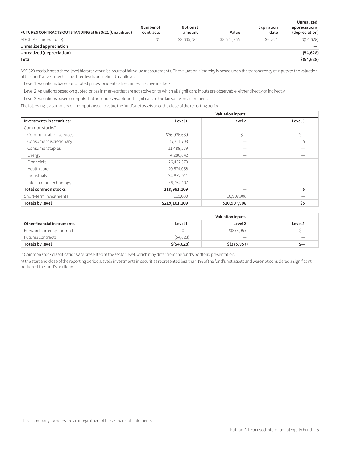| FUTURES CONTRACTS OUTSTANDING at 6/30/21 (Unaudited) | Number of<br>contracts | Notional<br>amount | Value       | Expiration<br>date | Unrealized<br>appreciation/<br>(depreciation) |
|------------------------------------------------------|------------------------|--------------------|-------------|--------------------|-----------------------------------------------|
| MSCI EAFE Index (Long)                               | 31                     | \$3,605,784        | \$3,571,355 | Sep-21             | \$ (54, 628)                                  |
| Unrealized appreciation                              |                        |                    |             |                    |                                               |
| Unrealized (depreciation)                            |                        |                    |             |                    | (54, 628)                                     |
| Total                                                |                        |                    |             |                    | \$ (54, 628)                                  |

ASC 820 establishes a three-level hierarchy for disclosure of fair value measurements. The valuation hierarchy is based upon the transparency of inputs to the valuation of the fund's investments. The three levels are defined as follows:

Level 1: Valuations based on quoted prices for identical securities in active markets.

Level 2: Valuations based on quoted prices in markets that are not active or for which all significant inputs are observable, either directly or indirectly.

Level 3: Valuations based on inputs that are unobservable and significant to the fair value measurement.

The following is a summary of the inputs used to value the fund's net assets as of the close of the reporting period:

|                            | <b>Valuation inputs</b> |                 |         |  |  |
|----------------------------|-------------------------|-----------------|---------|--|--|
| Investments in securities: | Level 1                 | Level 2         | Level 3 |  |  |
| Common stocks*:            |                         |                 |         |  |  |
| Communication services     | \$36,926,639            | $s-$            | $S-$    |  |  |
| Consumer discretionary     | 47,701,703              |                 | Ċ.      |  |  |
| Consumer staples           | 11,488,279              | $\qquad \qquad$ |         |  |  |
| Energy                     | 4,286,042               |                 |         |  |  |
| Financials                 | 26,407,370              |                 |         |  |  |
| Health care                | 20,574,058              |                 |         |  |  |
| Industrials                | 34,852,911              | $\qquad \qquad$ |         |  |  |
| Information technology     | 36,754,107              |                 |         |  |  |
| <b>Total common stocks</b> | 218,991,109             |                 | 5       |  |  |
| Short-term investments     | 110,000                 | 10,907,908      |         |  |  |
| <b>Totals by level</b>     | \$219,101,109           | \$10,907,908    | \$5     |  |  |

|                              | <b>Valuation inputs</b> |                 |         |
|------------------------------|-------------------------|-----------------|---------|
| Other financial instruments: | Level 1                 | Level 2         | Level 3 |
| Forward currency contracts   | $\sim$                  | $$$ (375,957)   |         |
| Futures contracts            | (54, 628)               | $\qquad \qquad$ |         |
| Totals by level              | \$ (54, 628)            | \$(375, 957)    |         |

\* Common stock classifications are presented at the sector level, which may differ from the fund's portfolio presentation.

At the start and close of the reporting period, Level 3 investments in securities represented less than 1% of the fund's net assets and were not considered a significant portion of the fund's portfolio.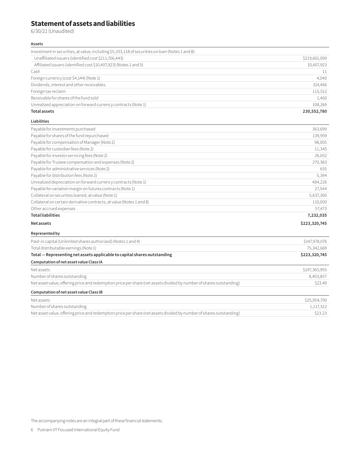# **Statement of assets and liabilities**

6/30/21 (Unaudited)

#### **Assets**

| Investment in securities, at value, including \$5,333,118 of securities on loan (Notes 1 and 8):                    |               |
|---------------------------------------------------------------------------------------------------------------------|---------------|
| Unaffiliated issuers (identified cost \$211,706,443)                                                                | \$219,601,099 |
| Affiliated issuers (identified cost \$10,407,923) (Notes 1 and 5)                                                   | 10,407,923    |
| Cash                                                                                                                | 11            |
| Foreign currency (cost \$4,144) (Note 1)                                                                            | 4,040         |
| Dividends, interest and other receivables                                                                           | 314,466       |
| Foreign tax reclaim                                                                                                 | 115,512       |
| Receivable for shares of the fund sold                                                                              | 1,460         |
| Unrealized appreciation on forward currency contracts (Note 1)                                                      | 108,269       |
| <b>Total assets</b>                                                                                                 | 230,552,780   |
| Liabilities                                                                                                         |               |
|                                                                                                                     |               |
| Payable for investments purchased                                                                                   | 363,699       |
| Payable for shares of the fund repurchased                                                                          | 139,959       |
| Payable for compensation of Manager (Note 2)                                                                        | 98,005        |
| Payable for custodian fees (Note 2)                                                                                 | 11,345        |
| Payable for investor servicing fees (Note 2)                                                                        | 26,052        |
| Payable for Trustee compensation and expenses (Note 2)                                                              | 270,383       |
| Payable for administrative services (Note 2)                                                                        | 655           |
| Payable for distribution fees (Note 2)                                                                              | 5,394         |
| Unrealized depreciation on forward currency contracts (Note 1)                                                      | 484,226       |
| Payable for variation margin on futures contracts (Note 1)                                                          | 27,544        |
| Collateral on securities loaned, at value (Note 1)                                                                  | 5,637,300     |
| Collateral on certain derivative contracts, at value (Notes 1 and 8)                                                | 110,000       |
| Other accrued expenses                                                                                              | 57,473        |
| <b>Total liabilities</b>                                                                                            | 7,232,035     |
| Net assets                                                                                                          | \$223,320,745 |
| Represented by                                                                                                      |               |
| Paid-in capital (Unlimited shares authorized) (Notes 1 and 4)                                                       | \$147,978,076 |
| Total distributable earnings (Note 1)                                                                               | 75,342,669    |
| Total - Representing net assets applicable to capital shares outstanding                                            | \$223,320,745 |
| Computation of net asset value Class IA                                                                             |               |
| Net assets                                                                                                          | \$197,365,955 |
| Number of shares outstanding                                                                                        | 8,403,857     |
| Net asset value, offering price and redemption price per share (net assets divided by number of shares outstanding) | \$23.49       |
| Computation of net asset value Class IB                                                                             |               |
| Net assets                                                                                                          | \$25,954,790  |
| Number of shares outstanding                                                                                        | 1,117,322     |
| Net asset value, offering price and redemption price per share (net assets divided by number of shares outstanding) | \$23.23       |
|                                                                                                                     |               |

The accompanying notes are an integral part of these financial statements.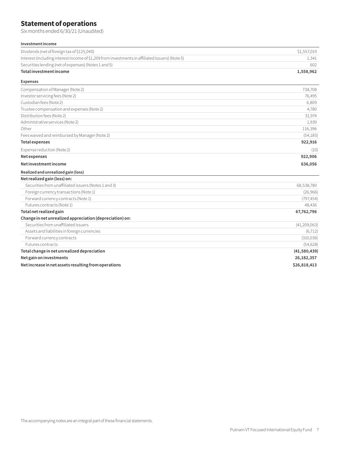# **Statement of operations**

Six months ended 6/30/21 (Unaudited)

| <b>Investment income</b> |  |
|--------------------------|--|
|--------------------------|--|

| Dividends (net of foreign tax of \$125,040)                                                     | \$1,557,019    |
|-------------------------------------------------------------------------------------------------|----------------|
| Interest (including interest income of \$1,209 from investments in affiliated issuers) (Note 5) | 1,341          |
| Securities lending (net of expenses) (Notes 1 and 5)                                            | 602            |
| <b>Total investment income</b>                                                                  | 1,558,962      |
| <b>Expenses</b>                                                                                 |                |
| Compensation of Manager (Note 2)                                                                | 738,708        |
| Investor servicing fees (Note 2)                                                                | 76,495         |
| Custodian fees (Note 2)                                                                         | 6,809          |
| Trustee compensation and expenses (Note 2)                                                      | 4,780          |
| Distribution fees (Note 2)                                                                      | 31,974         |
| Administrative services (Note 2)                                                                | 1,939          |
| Other                                                                                           | 116,396        |
| Fees waived and reimbursed by Manager (Note 2)                                                  | (54, 185)      |
| <b>Total expenses</b>                                                                           | 922,916        |
| Expense reduction (Note 2)                                                                      | (10)           |
| Net expenses                                                                                    | 922,906        |
| Net investment income                                                                           | 636,056        |
| Realized and unrealized gain (loss)                                                             |                |
| Net realized gain (loss) on:                                                                    |                |
| Securities from unaffiliated issuers (Notes 1 and 3)                                            | 68,538,780     |
| Foreign currency transactions (Note 1)                                                          | (26, 966)      |
| Forward currency contracts (Note 1)                                                             | (797, 454)     |
| Futures contracts (Note 1)                                                                      | 48,436         |
| Total net realized gain                                                                         | 67,762,796     |
| Change in net unrealized appreciation (depreciation) on:                                        |                |
| Securities from unaffiliated issuers                                                            | (41, 209, 063) |
| Assets and liabilities in foreign currencies                                                    | (6, 712)       |
| Forward currency contracts                                                                      | (310, 036)     |
| Futures contracts                                                                               | (54, 628)      |
| Total change in net unrealized depreciation                                                     | (41,580,439)   |
| Net gain on investments                                                                         | 26,182,357     |
| Net increase in net assets resulting from operations                                            | \$26,818,413   |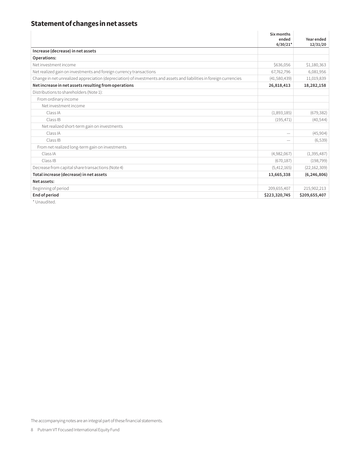# **Statement of changes in net assets**

|                                                                                                                      | Six months<br>ended<br>$6/30/21*$ | Year ended<br>12/31/20 |
|----------------------------------------------------------------------------------------------------------------------|-----------------------------------|------------------------|
| Increase (decrease) in net assets                                                                                    |                                   |                        |
| Operations:                                                                                                          |                                   |                        |
| Net investment income                                                                                                | \$636,056                         | \$1,180,363            |
| Net realized gain on investments and foreign currency transactions                                                   | 67,762,796                        | 6,081,956              |
| Change in net unrealized appreciation (depreciation) of investments and assets and liabilities in foreign currencies | (41,580,439)                      | 11,019,839             |
| Net increase in net assets resulting from operations                                                                 | 26,818,413                        | 18,282,158             |
| Distributions to shareholders (Note 1):                                                                              |                                   |                        |
| From ordinary income                                                                                                 |                                   |                        |
| Net investment income                                                                                                |                                   |                        |
| Class IA                                                                                                             | (1,893,185)                       | (679, 382)             |
| Class IB                                                                                                             | (195, 471)                        | (40, 544)              |
| Net realized short-term gain on investments                                                                          |                                   |                        |
| Class IA                                                                                                             | $\qquad \qquad$                   | (45,904)               |
| Class IB                                                                                                             |                                   | (6,539)                |
| From net realized long-term gain on investments                                                                      |                                   |                        |
| Class IA                                                                                                             | (4,982,067)                       | (1, 395, 487)          |
| Class IB                                                                                                             | (670, 187)                        | (198, 799)             |
| Decrease from capital share transactions (Note 4)                                                                    | (5,412,165)                       | (22, 162, 309)         |
| Total increase (decrease) in net assets                                                                              | 13,665,338                        | (6, 246, 806)          |
| Net assets:                                                                                                          |                                   |                        |
| Beginning of period                                                                                                  | 209,655,407                       | 215,902,213            |
| End of period                                                                                                        | \$223,320,745                     | \$209,655,407          |

\* Unaudited.

The accompanying notes are an integral part of these financial statements.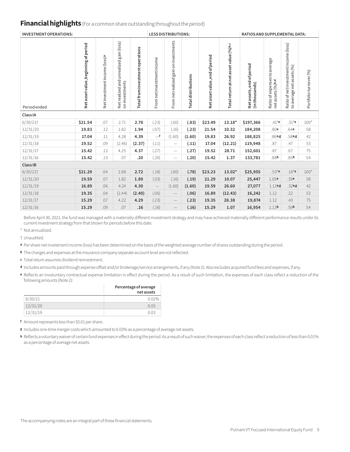### **Financial highlights** (For a common share outstanding throughout the period)

| <b>INVESTMENT OPERATIONS:</b> |                                     |                                           |                                                            |                                  |                            | <b>LESS DISTRIBUTIONS:</b>            |                            |                               |                                        | RATIOS AND SUPPLEMENTAL DATA:              |                                                       |                                                                    |                        |
|-------------------------------|-------------------------------------|-------------------------------------------|------------------------------------------------------------|----------------------------------|----------------------------|---------------------------------------|----------------------------|-------------------------------|----------------------------------------|--------------------------------------------|-------------------------------------------------------|--------------------------------------------------------------------|------------------------|
| Period ended                  | Netasset value, beginning of period | Net investment income (loss) <sup>a</sup> | gain(loss)<br>Net realized and unrealized<br>oninvestments | Total from investment operations | From net investment income | From net realized gain on investments | <b>Total distributions</b> | Netasset value, end of period | Total return at net asset value (%)b,c | Netassets, end of period<br>(in thousands) | Ratio of expenses to average<br>$net assets (96)$ b,d | Ratio of net investment income (loss)<br>to average net assets (%) | Portfolio turnover (%) |
| Class IA                      |                                     |                                           |                                                            |                                  |                            |                                       |                            |                               |                                        |                                            |                                                       |                                                                    |                        |
| 6/30/211                      | \$21.54                             | .07                                       | 2.71                                                       | 2.78                             | (.23)                      | (.60)                                 | (.83)                      | \$23.49                       | 13.18*                                 | \$197,366                                  | $.41*$ e                                              | $.31*$ e                                                           | $100*$                 |
| 12/31/20                      | 19.83                               | .12                                       | 1.82                                                       | 1.94                             | (.07)                      | (.16)                                 | (.23)                      | 21.54                         | 10.32                                  | 184,208                                    | .80 <sup>e</sup>                                      | .64e                                                               | 58                     |
| 12/31/19                      | 17.04                               | .11                                       | 4.28                                                       | 4.39                             | $-\mathsf{f}$              | (1.60)                                | (1.60)                     | 19.83                         | 26.92                                  | 188,825                                    | .86 <sub>e,g</sub>                                    | .58 <sub>e,g</sub>                                                 | 42                     |
| 12/31/18                      | 19.52                               | .09                                       | (2.46)                                                     | (2.37)                           | (.11)                      | $\overline{\phantom{m}}$              | (.11)                      | 17.04                         | (12.21)                                | 119,948                                    | .87                                                   | .47                                                                | 53                     |
| 12/31/17                      | 15.42                               | .12                                       | 4.25                                                       | 4.37                             | (.27)                      | $\overline{\phantom{m}}$              | (.27)                      | 19.52                         | 28.71                                  | 152,601                                    | .87                                                   | .67                                                                | 75                     |
| 12/31/16                      | 15.42                               | .13                                       | .07                                                        | .20                              | (.20)                      | $\overline{\phantom{m}}$              | (.20)                      | 15.42                         | 1.37                                   | 133,781                                    | .88h                                                  | .85h                                                               | 54                     |
| Class IB                      |                                     |                                           |                                                            |                                  |                            |                                       |                            |                               |                                        |                                            |                                                       |                                                                    |                        |
| 6/30/21†                      | \$21.29                             | .04                                       | 2.68                                                       | 2.72                             | (.18)                      | (.60)                                 | (.78)                      | \$23.23                       | 13.02*                                 | \$25,955                                   | $.53*$ e                                              | $.18*$ e                                                           | $100*$                 |
| 12/31/20                      | 19.59                               | .07                                       | 1.82                                                       | 1.89                             | (.03)                      | (.16)                                 | (.19)                      | 21.29                         | 10.07                                  | 25,447                                     | 1.05 <sup>e</sup>                                     | .39e                                                               | 58                     |
| 12/31/19                      | 16.89                               | .06                                       | 4.24                                                       | 4.30                             | $\overline{\phantom{0}}$   | (1.60)                                | (1.60)                     | 19.59                         | 26.60                                  | 27,077                                     | $1.11$ e,g                                            | .32 <sub>e,g</sub>                                                 | 42                     |
| 12/31/18                      | 19.35                               | .04                                       | (2.44)                                                     | (2.40)                           | (.06)                      | $\overline{\phantom{m}}$              | (.06)                      | 16.89                         | (12.43)                                | 16,242                                     | 1.12                                                  | .22                                                                | 53                     |
| 12/31/17                      | 15.29                               | .07                                       | 4.22                                                       | 4.29                             | (.23)                      | $\overline{\phantom{m}}$              | (.23)                      | 19.35                         | 28.38                                  | 19,874                                     | 1.12                                                  | .43                                                                | 75                     |
| 12/31/16                      | 15.29                               | .09                                       | .07                                                        | .16                              | (.16)                      | $\overline{\phantom{0}}$              | (.16)                      | 15.29                         | 1.07                                   | 16,954                                     | 1.13h                                                 | .59h                                                               | 54                     |

Before April 30, 2021, the fund was managed with a materially different investment strategy and may have achieved materially different performance results under its current investment strategy from that shown for periods before this date.

\* Not annualized.

† Unaudited.

**<sup>a</sup>** Per share net investment income (loss) has been determined on the basis of the weighted average number of shares outstanding during the period.

**<sup>b</sup>** The charges and expenses at the insurance company separate account level are not reflected.

**<sup>c</sup>** Total return assumes dividend reinvestment.

**<sup>d</sup>** Includes amounts paid through expense offset and/or brokerage/service arrangements, if any (Note 2). Also excludes acquired fund fees and expenses, if any.

**<sup>e</sup>** Reflects an involuntary contractual expense limitation in effect during the period. As a result of such limitation, the expenses of each class reflect a reduction of the following amounts (Note 2):

|          | Percentage of average<br>net assets |
|----------|-------------------------------------|
| 6/30/21  | 0.02%                               |
| 12/31/20 | 0.05                                |
| 12/31/19 | 0 O.3                               |

**<sup>f</sup>** Amount represents less than \$0.01 per share.

**<sup>g</sup>** Includes one-time merger costs which amounted to 0.03% as a percentage of average net assets.

**<sup>h</sup>** Reflects a voluntary waiver of certain fund expenses in effect during the period. As a result of such waiver, the expenses of each class reflect a reduction of less than 0.01% as a percentage of average net assets.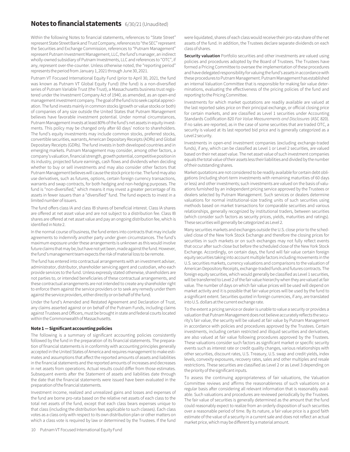### **Notes to financial statements** 6/30/21 (Unaudited)

Within the following Notes to financial statements, references to "State Street" represent State Street Bank and Trust Company, references to "the SEC" represent the Securities and Exchange Commission, references to "Putnam Management" represent Putnam Investment Management, LLC, the fund's manager, an indirect wholly-owned subsidiary of Putnam Investments, LLC and references to "OTC", if any, represent over-the-counter. Unless otherwise noted, the "reporting period" represents the period from January 1, 2021 through June 30, 2021.

Putnam VT Focused International Equity Fund (prior to April 30, 2021, the fund was known as Putnam VT Global Equity Fund) (the fund) is a non-diversified series of Putnam Variable Trust (the Trust), a Massachusetts business trust registered under the Investment Company Act of 1940, as amended, as an open-end management investment company. The goal of the fund is to seek capital appreciation. The fund invests mainly in common stocks (growth or value stocks or both) of companies of any size outside the United States that Putnam Management believes have favorable investment potential. Under normal circumstances, Putnam Management invests at least 80% of the fund's net assets in equity investments. This policy may be changed only after 60 days' notice to shareholders. The fund's equity investments may include common stocks, preferred stocks, convertible securities, warrants, American Depositary Receipts (ADRs) and Global Depositary Receipts (GDRs). The fund invests in both developed countries and in emerging markets. Putnam Management may consider, among other factors, a company's valuation, financial strength, growth potential, competitive position in its industry, projected future earnings, cash flows and dividends when deciding whether to buy or sell investments and may also consider other factors that Putnam Management believes will cause the stock price to rise. The fund may also use derivatives, such as futures, options, certain foreign currency transactions, warrants and swap contracts, for both hedging and non-hedging purposes. The fund is "non-diversified," which means it may invest a greater percentage of its assets in fewer issuers than a "diversified" fund. The fund expects to invest in a limited number of issuers.

The fund offers class IA and class IB shares of beneficial interest. Class IA shares are offered at net asset value and are not subject to a distribution fee. Class IB shares are offered at net asset value and pay an ongoing distribution fee, which is identified in Note 2.

In the normal course of business, the fund enters into contracts that may include agreements to indemnify another party under given circumstances. The fund's maximum exposure under these arrangements is unknown as this would involve future claims that may be, but have not yet been, made against the fund. However, the fund's management team expects the risk of material loss to be remote.

The fund has entered into contractual arrangements with an investment adviser, administrator, distributor, shareholder servicing agent and custodian, who each provide services to the fund. Unless expressly stated otherwise, shareholders are not parties to, or intended beneficiaries of these contractual arrangements, and these contractual arrangements are not intended to create any shareholder right to enforce them against the service providers or to seek any remedy under them against the service providers, either directly or on behalf of the fund.

Under the fund's Amended and Restated Agreement and Declaration of Trust, any claims asserted against or on behalf of the Putnam Funds, including claims against Trustees and Officers, must be brought in state and federal courts located within the Commonwealth of Massachusetts.

#### **Note 1 — Significant accounting policies**

The following is a summary of significant accounting policies consistently followed by the fund in the preparation of its financial statements. The preparation of financial statements is in conformity with accounting principles generally accepted in the United States of America and requires management to make estimates and assumptions that affect the reported amounts of assets and liabilities in the financial statements and the reported amounts of increases and decreases in net assets from operations. Actual results could differ from those estimates. Subsequent events after the Statement of assets and liabilities date through the date that the financial statements were issued have been evaluated in the preparation of the financial statements.

Investment income, realized and unrealized gains and losses and expenses of the fund are borne pro-rata based on the relative net assets of each class to the total net assets of the fund, except that each class bears expenses unique to that class (including the distribution fees applicable to such classes). Each class votes as a class only with respect to its own distribution plan or other matters on which a class vote is required by law or determined by the Trustees. If the fund

were liquidated, shares of each class would receive their pro-rata share of the net assets of the fund. In addition, the Trustees declare separate dividends on each class of shares.

**Security valuation** Portfolio securities and other investments are valued using policies and procedures adopted by the Board of Trustees. The Trustees have formed a Pricing Committee to oversee the implementation of these procedures and have delegated responsibility for valuing the fund's assets in accordance with these procedures to Putnam Management. Putnam Management has established an internal Valuation Committee that is responsible for making fair value determinations, evaluating the effectiveness of the pricing policies of the fund and reporting to the Pricing Committee.

Investments for which market quotations are readily available are valued at the last reported sales price on their principal exchange, or official closing price for certain markets, and are classified as Level 1 securities under Accounting Standards Codification 820 *Fair Value Measurements and Disclosures* (ASC 820). If no sales are reported, as in the case of some securities that are traded OTC, a security is valued at its last reported bid price and is generally categorized as a Level 2 security.

Investments in open-end investment companies (excluding exchange-traded funds), if any, which can be classified as Level 1 or Level 2 securities, are valued based on their net asset value. The net asset value of such investment companies equals the total value of their assets less their liabilities and divided by the number of their outstanding shares.

Market quotations are not considered to be readily available for certain debt obligations (including short-term investments with remaining maturities of 60 days or less) and other investments; such investments are valued on the basis of valuations furnished by an independent pricing service approved by the Trustees or dealers selected by Putnam Management. Such services or dealers determine valuations for normal institutional-size trading units of such securities using methods based on market transactions for comparable securities and various relationships, generally recognized by institutional traders, between securities (which consider such factors as security prices, yields, maturities and ratings). These securities will generally be categorized as Level 2.

Many securities markets and exchanges outside the U.S. close prior to the scheduled close of the New York Stock Exchange and therefore the closing prices for securities in such markets or on such exchanges may not fully reflect events that occur after such close but before the scheduled close of the New York Stock Exchange. Accordingly, on certain days, the fund will fair value certain foreign equity securities taking into account multiple factors including movements in the U.S. securities markets, currency valuations and comparisons to the valuation of American Depository Receipts, exchange-traded funds and futures contracts. The foreign equity securities, which would generally be classified as Level 1 securities, will be transferred to Level 2 of the fair value hierarchy when they are valued at fair value. The number of days on which fair value prices will be used will depend on market activity and it is possible that fair value prices will be used by the fund to a significant extent. Securities quoted in foreign currencies, if any, are translated into U.S. dollars at the current exchange rate.

To the extent a pricing service or dealer is unable to value a security or provides a valuation that Putnam Management does not believe accurately reflects the security's fair value, the security will be valued at fair value by Putnam Management in accordance with policies and procedures approved by the Trustees. Certain investments, including certain restricted and illiquid securities and derivatives, are also valued at fair value following procedures approved by the Trustees. These valuations consider such factors as significant market or specific security events such as interest rate or credit quality changes, various relationships with other securities, discount rates, U.S. Treasury, U.S. swap and credit yields, index levels, convexity exposures, recovery rates, sales and other multiples and resale restrictions. These securities are classified as Level 2 or as Level 3 depending on the priority of the significant inputs.

To assess the continuing appropriateness of fair valuations, the Valuation Committee reviews and affirms the reasonableness of such valuations on a regular basis after considering all relevant information that is reasonably available. Such valuations and procedures are reviewed periodically by the Trustees. The fair value of securities is generally determined as the amount that the fund could reasonably expect to realize from an orderly disposition of such securities over a reasonable period of time. By its nature, a fair value price is a good faith estimate of the value of a security in a current sale and does not reflect an actual market price, which may be different by a material amount.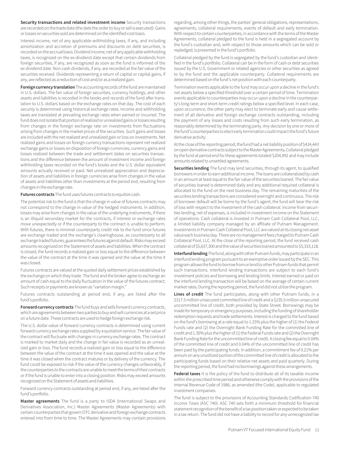**Security transactions and related investment income** Security transactions are recorded on the trade date (the date the order to buy or sell is executed). Gains or losses on securities sold are determined on the identified cost basis.

Interest income, net of any applicable withholding taxes, if any, and including amortization and accretion of premiums and discounts on debt securities, is recorded on the accrual basis. Dividend income, net of any applicable withholding taxes, is recognized on the ex-dividend date except that certain dividends from foreign securities, if any, are recognized as soon as the fund is informed of the ex-dividend date. Non-cash dividends, if any, are recorded at the fair value of the securities received. Dividends representing a return of capital or capital gains, if any, are reflected as a reduction of cost and/or as a realized gain.

**Foreign currency translation** The accounting records of the fund are maintained in U.S. dollars. The fair value of foreign securities, currency holdings, and other assets and liabilities is recorded in the books and records of the fund after translation to U.S. dollars based on the exchange rates on that day. The cost of each security is determined using historical exchange rates. Income and withholding taxes are translated at prevailing exchange rates when earned or incurred. The fund does not isolate that portion of realized or unrealized gains or losses resulting from changes in the foreign exchange rate on investments from fluctuations arising from changes in the market prices of the securities. Such gains and losses are included with the net realized and unrealized gain or loss on investments. Net realized gains and losses on foreign currency transactions represent net realized exchange gains or losses on disposition of foreign currencies, currency gains and losses realized between the trade and settlement dates on securities transactions and the difference between the amount of investment income and foreign withholding taxes recorded on the fund's books and the U.S. dollar equivalent amounts actually received or paid. Net unrealized appreciation and depreciation of assets and liabilities in foreign currencies arise from changes in the value of assets and liabilities other than investments at the period end, resulting from changes in the exchange rate.

**Futures contracts** The fund uses futures contracts to equitize cash.

The potential risk to the fund is that the change in value of futures contracts may not correspond to the change in value of the hedged instruments. In addition, losses may arise from changes in the value of the underlying instruments, if there is an illiquid secondary market for the contracts, if interest or exchange rates move unexpectedly or if the counterparty to the contract is unable to perform. With futures, there is minimal counterparty credit risk to the fund since futures are exchange traded and the exchange's clearinghouse, as counterparty to all exchange traded futures, guarantees the futures against default. Risks may exceed amounts recognized on the Statement of assets and liabilities. When the contract is closed, the fund records a realized gain or loss equal to the difference between the value of the contract at the time it was opened and the value at the time it was closed.

Futures contracts are valued at the quoted daily settlement prices established by the exchange on which they trade. The fund and the broker agree to exchange an amount of cash equal to the daily fluctuation in the value of the futures contract. Such receipts or payments are known as "variation margin."

Futures contracts outstanding at period end, if any, are listed after the fund's portfolio.

**Forward currency contracts** The fund buys and sells forward currency contracts, which are agreements between two parties to buy and sell currencies at a set price on a future date. These contracts are used to hedge foreign exchange risk.

The U.S. dollar value of forward currency contracts is determined using current forward currency exchange rates supplied by a quotation service. The fair value of the contract will fluctuate with changes in currency exchange rates. The contract is marked to market daily and the change in fair value is recorded as an unrealized gain or loss. The fund records a realized gain or loss equal to the difference between the value of the contract at the time it was opened and the value at the time it was closed when the contract matures or by delivery of the currency. The fund could be exposed to risk if the value of the currency changes unfavorably, if the counterparties to the contracts are unable to meet the terms of their contracts or if the fund is unable to enter into a closing position. Risks may exceed amounts recognized on the Statement of assets and liabilities.

Forward currency contracts outstanding at period end, if any, are listed after the fund's portfolio.

**Master agreements** The fund is a party to ISDA (International Swaps and Derivatives Association, Inc.) Master Agreements (Master Agreements) with certain counterparties that govern OTC derivative and foreign exchange contracts entered into from time to time. The Master Agreements may contain provisions

regarding, among other things, the parties' general obligations, representations, agreements, collateral requirements, events of default and early termination. With respect to certain counterparties, in accordance with the terms of the Master Agreements, collateral pledged to the fund is held in a segregated account by the fund's custodian and, with respect to those amounts which can be sold or repledged, is presented in the fund's portfolio.

Collateral pledged by the fund is segregated by the fund's custodian and identified in the fund's portfolio. Collateral can be in the form of cash or debt securities issued by the U.S. Government or related agencies or other securities as agreed to by the fund and the applicable counterparty. Collateral requirements are determined based on the fund's net position with each counterparty.

Termination events applicable to the fund may occur upon a decline in the fund's net assets below a specified threshold over a certain period of time. Termination events applicable to counterparties may occur upon a decline in the counterparty's long-term and short-term credit ratings below a specified level. In each case, upon occurrence, the other party may elect to terminate early and cause settlement of all derivative and foreign exchange contracts outstanding, including the payment of any losses and costs resulting from such early termination, as reasonably determined by the terminating party. Any decision by one or more of the fund's counterparties to elect early termination could impact the fund's future derivative activity.

At the close of the reporting period, the fund had a net liability position of \$424,443 on open derivative contracts subject to the Master Agreements**.** Collateral pledged by the fund at period end for these agreements totaled \$204,992 and may include amounts related to unsettled agreements.

**Securities lending** The fund may lend securities, through its agent, to qualified borrowers in order to earn additional income. The loans are collateralized by cash in an amount at least equal to the fair value of the securities loaned. The fair value of securities loaned is determined daily and any additional required collateral is allocated to the fund on the next business day. The remaining maturities of the securities lending transactions are considered overnight and continuous. The risk of borrower default will be borne by the fund's agent; the fund will bear the risk of loss with respect to the investment of the cash collateral. Income from securities lending, net of expenses, is included in investment income on the Statement of operations. Cash collateral is invested in Putnam Cash Collateral Pool, LLC, a limited liability company managed by an affiliate of Putnam Management. Investments in Putnam Cash Collateral Pool, LLC are valued at its closing net asset value each business day. There are no management fees charged to Putnam Cash Collateral Pool, LLC. At the close of the reporting period, the fund received cash collateral of \$5,637,300 and the value of securities loaned amounted to \$5,333,118.

**Interfund lending** The fund, along with other Putnam funds, may participate in an interfund lending program pursuant to an exemptive order issued by the SEC. This program allows the fund to borrow from or lend to other Putnam funds that permit such transactions. Interfund lending transactions are subject to each fund's investment policies and borrowing and lending limits. Interest earned or paid on the interfund lending transaction will be based on the average of certain current market rates. During the reporting period, the fund did not utilize the program.

**Lines of credit** The fund participates, along with other Putnam funds, in a \$317.5 million unsecured committed line of credit and a \$235.5 million unsecured uncommitted line of credit, both provided by State Street. Borrowings may be made for temporary or emergency purposes, including the funding of shareholder redemption requests and trade settlements. Interest is charged to the fund based on the fund's borrowing at a rate equal to 1.25% plus the higher of (1) the Federal Funds rate and (2) the Overnight Bank Funding Rate for the committed line of credit and 1.30% plus the higher of (1) the Federal Funds rate and (2) the Overnight Bank Funding Rate for the uncommitted line of credit. A closing fee equal to 0.04% of the committed line of credit and 0.04% of the uncommitted line of credit has been paid by the participating funds. In addition, a commitment fee of 0.21% per annum on any unutilized portion of the committed line of credit is allocated to the participating funds based on their relative net assets and paid quarterly. During the reporting period, the fund had no borrowings against these arrangements.

**Federal taxes** It is the policy of the fund to distribute all of its taxable income within the prescribed time period and otherwise comply with the provisions of the Internal Revenue Code of 1986, as amended (the Code), applicable to regulated investment companies.

The fund is subject to the provisions of Accounting Standards Codification 740 *Income Taxes* (ASC 740). ASC 740 sets forth a minimum threshold for financial statement recognition of the benefit of a tax position taken or expected to be taken in a tax return. The fund did not have a liability to record for any unrecognized tax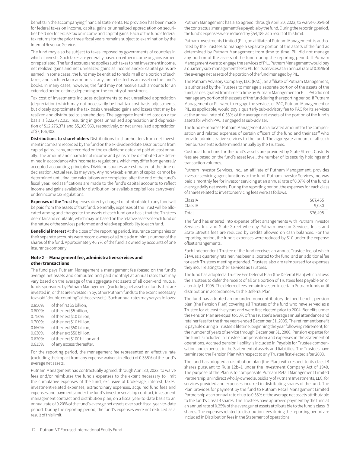benefits in the accompanying financial statements. No provision has been made for federal taxes on income, capital gains or unrealized appreciation on securities held nor for excise tax on income and capital gains. Each of the fund's federal tax returns for the prior three fiscal years remains subject to examination by the Internal Revenue Service.

The fund may also be subject to taxes imposed by governments of countries in which it invests. Such taxes are generally based on either income or gains earned or repatriated. The fund accrues and applies such taxes to net investment income, net realized gains and net unrealized gains as income and/or capital gains are earned. In some cases, the fund may be entitled to reclaim all or a portion of such taxes, and such reclaim amounts, if any, are reflected as an asset on the fund's books. In many cases, however, the fund may not receive such amounts for an extended period of time, depending on the country of investment.

Tax cost of investments includes adjustments to net unrealized appreciation (depreciation) which may not necessarily be final tax cost basis adjustments, but closely approximate the tax basis unrealized gains and losses that may be realized and distributed to shareholders. The aggregate identified cost on a tax basis is \$222,472,035, resulting in gross unrealized appreciation and depreciation of \$12,276,371 and \$5,169,969, respectively, or net unrealized appreciation of \$7,106,402.

**Distributions to shareholders** Distributions to shareholders from net investment income are recorded by the fund on the ex-dividend date. Distributions from capital gains, if any, are recorded on the ex-dividend date and paid at least annually. The amount and character of income and gains to be distributed are determined in accordance with income tax regulations, which may differ from generally accepted accounting principles. Dividend sources are estimated at the time of declaration. Actual results may vary. Any non-taxable return of capital cannot be determined until final tax calculations are completed after the end of the fund's fiscal year. Reclassifications are made to the fund's capital accounts to reflect income and gains available for distribution (or available capital loss carryovers) under income tax regulations.

**Expenses of the Trust** Expenses directly charged or attributable to any fund will be paid from the assets of that fund. Generally, expenses of the Trust will be allocated among and charged to the assets of each fund on a basis that the Trustees deem fair and equitable, which may be based on the relative assets of each fund or the nature of the services performed and relative applicability to each fund.

**Beneficial interest** At the close of the reporting period, insurance companies or their separate accounts were record owners of all but a de minimis number of the shares of the fund. Approximately 46.7% of the fund is owned by accounts of one insurance company.

#### **Note 2 — Management fee, administrative services and other transactions**

The fund pays Putnam Management a management fee (based on the fund's average net assets and computed and paid monthly) at annual rates that may vary based on the average of the aggregate net assets of all open-end mutual funds sponsored by Putnam Management (excluding net assets of funds that are invested in, or that are invested in by, other Putnam funds to the extent necessary to avoid "double counting" of those assets). Such annual rates may vary as follows:

| 0.850% | of the first \$5 billion.     |
|--------|-------------------------------|
| 0.800% | of the next \$5 billion,      |
| 0.750% | of the next \$10 billion,     |
| 0.700% | of the next \$10 billion,     |
| 0.650% | of the next \$50 billion,     |
| 0.630% | of the next \$50 billion,     |
| 0.620% | of the next \$100 billion and |
| 0.615% | of any excess thereafter.     |

For the reporting period, the management fee represented an effective rate (excluding the impact from any expense waivers in effect) of 0.338% of the fund's average net assets.

Putnam Management has contractually agreed, through April 30, 2023, to waive fees and/or reimburse the fund's expenses to the extent necessary to limit the cumulative expenses of the fund, exclusive of brokerage, interest, taxes, investment-related expenses, extraordinary expenses, acquired fund fees and expenses and payments under the fund's investor servicing contract, investment management contract and distribution plan, on a fiscal year-to-date basis to an annual rate of 0.20% of the fund's average net assets over such fiscal year-to-date period. During the reporting period, the fund's expenses were not reduced as a result of this limit.

Putnam Management has also agreed, through April 30, 2023, to waive 0.05% of the contractual management fee payable by the fund. During the reporting period, the fund's expenses were reduced by \$54,185 as a result of this limit.

Putnam Investments Limited (PIL), an affiliate of Putnam Management, is authorized by the Trustees to manage a separate portion of the assets of the fund as determined by Putnam Management from time to time. PIL did not manage any portion of the assets of the fund during the reporting period. If Putnam Management were to engage the services of PIL, Putnam Management would pay a quarterly sub-management fee to PIL for its services at an annual rate of 0.35% of the average net assets of the portion of the fund managed by PIL.

The Putnam Advisory Company, LLC (PAC), an affiliate of Putnam Management, is authorized by the Trustees to manage a separate portion of the assets of the fund, as designated from time to time by Putnam Management or PIL. PAC did not manage any portion of the assets of the fund during the reporting period. If Putnam Management or PIL were to engage the services of PAC, Putnam Management or PIL, as applicable, would pay a quarterly sub-advisory fee to PAC for its services at the annual rate of 0.35% of the average net assets of the portion of the fund's assets for which PAC is engaged as sub-adviser.

The fund reimburses Putnam Management an allocated amount for the compensation and related expenses of certain officers of the fund and their staff who provide administrative services to the fund. The aggregate amount of all such reimbursements is determined annually by the Trustees.

Custodial functions for the fund's assets are provided by State Street. Custody fees are based on the fund's asset level, the number of its security holdings and transaction volumes.

Putnam Investor Services, Inc., an affiliate of Putnam Management, provides investor servicing agent functions to the fund. Putnam Investor Services, Inc. was paid a monthly fee for investor servicing at an annual rate of 0.07% of the fund's average daily net assets. During the reporting period, the expenses for each class of shares related to investor servicing fees were as follows:

| Class IA | \$67,465 |
|----------|----------|
| Class IB | 9.030    |
| Total    | \$76,495 |

The fund has entered into expense offset arrangements with Putnam Investor Services, Inc. and State Street whereby Putnam Investor Services, Inc.'s and State Street's fees are reduced by credits allowed on cash balances. For the reporting period, the fund's expenses were reduced by \$10 under the expense offset arrangements.

Each Independent Trustee of the fund receives an annual Trustee fee, of which \$144, as a quarterly retainer, has been allocated to the fund, and an additional fee for each Trustees meeting attended. Trustees also are reimbursed for expenses they incur relating to their services as Trustees.

The fund has adopted a Trustee Fee Deferral Plan (the Deferral Plan) which allows the Trustees to defer the receipt of all or a portion of Trustees fees payable on or after July 1, 1995. The deferred fees remain invested in certain Putnam funds until distribution in accordance with the Deferral Plan.

The fund has adopted an unfunded noncontributory defined benefit pension plan (the Pension Plan) covering all Trustees of the fund who have served as a Trustee for at least five years and were first elected prior to 2004. Benefits under the Pension Plan are equal to 50% of the Trustee's average annual attendance and retainer fees for the three years ended December 31, 2005. The retirement benefit is payable during a Trustee's lifetime, beginning the year following retirement, for the number of years of service through December 31, 2006. Pension expense for the fund is included in Trustee compensation and expenses in the Statement of operations. Accrued pension liability is included in Payable for Trustee compensation and expenses in the Statement of assets and liabilities. The Trustees have terminated the Pension Plan with respect to any Trustee first elected after 2003.

The fund has adopted a distribution plan (the Plan) with respect to its class IB shares pursuant to Rule 12b–1 under the Investment Company Act of 1940. The purpose of the Plan is to compensate Putnam Retail Management Limited Partnership, an indirect wholly-owned subsidiary of Putnam Investments, LLC, for services provided and expenses incurred in distributing shares of the fund. The Plan provides for payment by the fund to Putnam Retail Management Limited Partnership at an annual rate of up to 0.35% of the average net assets attributable to the fund's class IB shares. The Trustees have approved payment by the fund at an annual rate of 0.25% of the average net assets attributable to the fund's class IB shares. The expenses related to distribution fees during the reporting period are included in Distribution fees in the Statement of operations.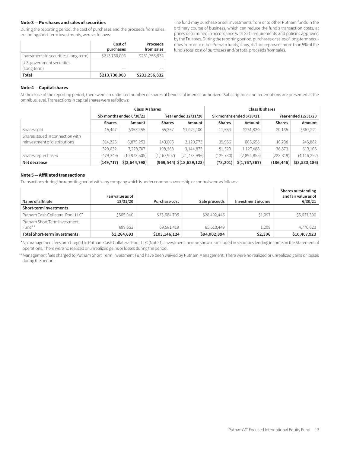#### **Note 3 — Purchases and sales of securities**

During the reporting period, the cost of purchases and the proceeds from sales, excluding short-term investments, were as follows:

|                                           | Cost of<br>purchases | Proceeds<br>from sales |
|-------------------------------------------|----------------------|------------------------|
| Investments in securities (Long-term)     | \$213,730,003        | \$231,256,832          |
| U.S. government securities<br>(Long-term) |                      |                        |
| Total                                     | \$213,730,003        | \$231,256,832          |

The fund may purchase or sell investments from or to other Putnam funds in the ordinary course of business, which can reduce the fund's transaction costs, at prices determined in accordance with SEC requirements and policies approved by the Trustees. During the reporting period, purchases or sales of long-term securities from or to other Putnam funds, if any, did not represent more than 5% of the fund's total cost of purchases and/or total proceeds from sales.

#### **Note 4 — Capital shares**

At the close of the reporting period, there were an unlimited number of shares of beneficial interest authorized. Subscriptions and redemptions are presented at the omnibus level. Transactions in capital shares were as follows:

|                                                                   | Class IA shares          |                |                     |                                                |                          |               | Class IB shares     |               |
|-------------------------------------------------------------------|--------------------------|----------------|---------------------|------------------------------------------------|--------------------------|---------------|---------------------|---------------|
|                                                                   | Six months ended 6/30/21 |                | Year ended 12/31/20 |                                                | Six months ended 6/30/21 |               | Year ended 12/31/20 |               |
|                                                                   | <b>Shares</b>            | Amount         | <b>Shares</b>       | Amount                                         | <b>Shares</b>            | Amount        | <b>Shares</b>       | Amount        |
| Shares sold                                                       | 15.407                   | \$353,455      | 55,357              | \$1,024,100                                    | 11,563                   | \$261,830     | 20,135              | \$367,224     |
| Shares issued in connection with<br>reinvestment of distributions | 314,225                  | 6,875,252      | 143,006             | 2,120,773                                      | 39,966                   | 865,658       | 16,738              | 245,882       |
|                                                                   | 329,632                  | 7,228,707      | 198,363             | 3,144,873                                      | 51,529                   | 1,127,488     | 36,873              | 613,106       |
| Shares repurchased                                                | (479, 349)               | (10, 873, 505) | (1, 167, 907)       | (21,773,996)                                   | (129, 730)               | (2,894,855)   | (223, 319)          | (4, 146, 292) |
| Net decrease                                                      | (149, 717)               | \$(3,644,798)  |                     | $(969, 544)$ $\left  \frac{6}{29}$ , 629, 123) | (78, 201)                | \$(1,767,367) | (186, 446)          | \$(3,533,186) |

#### **Note 5 — Affiliated transactions**

Transactions during the reporting period with any company which is under common ownership or control were as follows:

| Name of affiliate                        | Fair value as of<br>12/31/20 | Purchase cost | Sale proceeds | Investment income | Shares outstanding<br>and fair value as of<br>6/30/21 |
|------------------------------------------|------------------------------|---------------|---------------|-------------------|-------------------------------------------------------|
| Short-term investments                   |                              |               |               |                   |                                                       |
| Putnam Cash Collateral Pool, LLC*        | \$565,040                    | \$33,564,705  | \$28,492,445  | \$1.097           | \$5,637,300                                           |
| Putnam Short Term Investment<br>$Fund**$ | 699.653                      | 69,581,419    | 65,510,449    | 1.209             | 4,770,623                                             |
| <b>Total Short-term investments</b>      | \$1,264,693                  | \$103,146,124 | \$94,002,894  | \$2,306           | \$10,407,923                                          |

\*No management fees are charged to Putnam Cash Collateral Pool, LLC (Note 1). Investment income shown is included in securities lending income on the Statement of operations. There were no realized or unrealized gains or losses during the period.

\*\*Management fees charged to Putnam Short Term Investment Fund have been waived by Putnam Management. There were no realized or unrealized gains or losses during the period.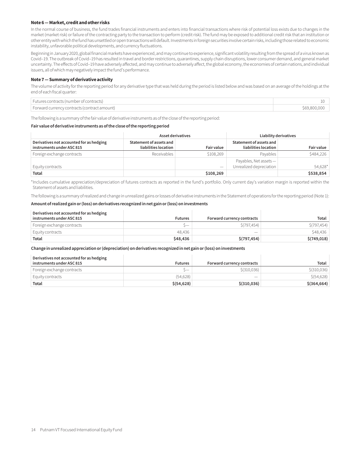#### **Note 6 — Market, credit and other risks**

In the normal course of business, the fund trades financial instruments and enters into financial transactions where risk of potential loss exists due to changes in the market (market risk) or failure of the contracting party to the transaction to perform (credit risk). The fund may be exposed to additional credit risk that an institution or other entity with which the fund has unsettled or open transactions will default.Investments in foreign securities involve certain risks, including those related to economic instability, unfavorable political developments, and currency fluctuations.

Beginning in January 2020, global financial markets have experienced, and may continue to experience, significant volatility resulting from the spread of a virus known as Covid–19. The outbreak of Covid–19 has resulted in travel and border restrictions, quarantines, supply chain disruptions, lower consumer demand, and general market uncertainty. The effects of Covid–19 have adversely affected, and may continue to adversely affect, the global economy, the economies of certain nations, and individual issuers, all of which may negatively impact the fund's performance.

#### **Note 7 — Summary of derivative activity**

The volume of activity for the reporting period for any derivative type that was held during the period is listed below and was based on an average of the holdings at the end of each fiscal quarter:

| Futures contracts (number of contracts)      |             |
|----------------------------------------------|-------------|
| Forward currency contracts (contract amount) | S69,800,000 |

The following is a summary of the fair value of derivative instruments as of the close of the reporting period:

#### **Fair value of derivative instruments as of the close of the reporting period**

|                                                                       | Asset derivatives                               |                          | Liability derivatives                            |                   |  |
|-----------------------------------------------------------------------|-------------------------------------------------|--------------------------|--------------------------------------------------|-------------------|--|
| Derivatives not accounted for as hedging<br>instruments under ASC 815 | Statement of assets and<br>liabilities location | <b>Fair value</b>        | Statement of assets and<br>liabilities location  | <b>Fair value</b> |  |
| Foreign exchange contracts                                            | Receivables                                     | \$108,269                | Payables                                         | \$484,226         |  |
| Equity contracts                                                      |                                                 | $\overline{\phantom{a}}$ | Payables, Net assets-<br>Unrealized depreciation | 54,628*           |  |
| <b>Total</b>                                                          |                                                 | \$108,269                |                                                  | \$538,854         |  |

\*Includes cumulative appreciation/depreciation of futures contracts as reported in the fund's portfolio. Only current day's variation margin is reported within the Statement of assets and liabilities.

The following is a summary of realized and change in unrealized gains or losses of derivative instruments in the Statement of operations for the reporting period (Note 1):

#### **Amount of realized gain or (loss) on derivatives recognized in net gain or (loss) on investments**

| Derivatives not accounted for as hedging |                          |                            |              |
|------------------------------------------|--------------------------|----------------------------|--------------|
| instruments under ASC 815                | <b>Futures</b>           | Forward currency contracts | Total        |
| Foreign exchange contracts               | $\overline{\phantom{a}}$ | S(797.454)                 | \$(797, 454) |
| Equity contracts                         | 48.436                   |                            | \$48,436     |
| Total                                    | \$48,436                 | \$(797, 454)               | \$(749, 018) |

**Change in unrealized appreciation or (depreciation) on derivatives recognized in net gain or (loss) on investments**

| Derivatives not accounted for as hedging<br>instruments under ASC 815 | <b>Futures</b> | Forward currency contracts | Total        |
|-----------------------------------------------------------------------|----------------|----------------------------|--------------|
| Foreign exchange contracts                                            | $\sim$         | \$ (310, 036)              | \$ (310,036) |
| Equity contracts                                                      | (54, 628)      | —                          | \$ (54, 628) |
| Total                                                                 | \$ (54, 628)   | \$(310,036)                | \$(364, 664) |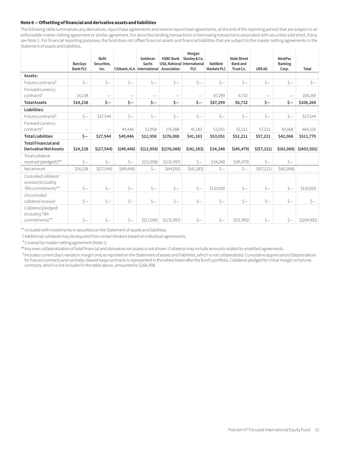#### **Note 8 — Offsetting of financial and derivative assets and liabilities**

The following table summarizes any derivatives, repurchase agreements and reverse repurchase agreements, at the end of the reporting period, that are subject to an enforceable master netting agreement or similar agreement. For securities lending transactions or borrowing transactions associated with securities sold short, if any, see Note 1. For financial reporting purposes, the fund does not offset financial assets and financial liabilities that are subject to the master netting agreements in the Statement of assets and liabilities.

|                                   | <b>Barclays</b>   | <b>BofA</b><br>Securities, |                                 | Goldman<br>Sachs             | <b>HSBC Bank</b> | Morgan<br>Stanley & Co.<br>USA, National International | <b>NatWest</b>     | <b>State Street</b><br><b>Bank</b> and |                 | WestPac<br><b>Banking</b> |             |
|-----------------------------------|-------------------|----------------------------|---------------------------------|------------------------------|------------------|--------------------------------------------------------|--------------------|----------------------------------------|-----------------|---------------------------|-------------|
|                                   | <b>Bank PLC</b>   | Inc.                       |                                 | Citibank, N.A. International | Association      | PLC                                                    | <b>Markets PLC</b> | Trust Co.                              | <b>UBSAG</b>    | Corp.                     | Total       |
| Assets:                           |                   |                            |                                 |                              |                  |                                                        |                    |                                        |                 |                           |             |
| Futures contracts <sup>§</sup>    | $S-$              | $S-$                       | $S-$                            | $S-$                         | $S-$             | $\zeta-$                                               | $S-$               | $S-$                                   | $S-$            | $S-$                      | $S-$        |
| Forward currency<br>contracts#    | 14,238            | $\overline{\phantom{m}}$   | $\hspace{0.1mm}-\hspace{0.1mm}$ | $\overline{\phantom{m}}$     |                  | $\overline{\phantom{m}}$                               | 87,299             | 6,732                                  | $\qquad \qquad$ |                           | 108,269     |
| <b>Total Assets</b>               | \$14,238          | $\zeta-$                   | $s-$                            | $s-$                         | $s-$             | $s-$                                                   | \$87,299           | \$6,732                                | $\zeta -$       | $s-$                      | \$108,269   |
| Liabilities:                      |                   |                            |                                 |                              |                  |                                                        |                    |                                        |                 |                           |             |
| Futures contracts <sup>§</sup>    | $S-$              | \$27,544                   | $S-$                            | $\zeta-$                     | $S-$             | $S-$                                                   | $S-$               | $S-$                                   | $S-$            | $S-$                      | \$27,544    |
| Forward currency                  |                   |                            |                                 |                              |                  |                                                        |                    |                                        |                 |                           |             |
| contracts <sup>#</sup>            | $\qquad \qquad -$ | $\qquad \qquad$            | 49,446                          | 12,958                       | 176,088          | 41,183                                                 | 53,051             | 52,211                                 | 57,221          | 42,068                    | 484,226     |
| <b>Total Liabilities</b>          | $s-$              | \$27,544                   | \$49,446                        | \$12,958                     | \$176,088        | \$41,183                                               | \$53,051           | \$52,211                               | \$57,221        | \$42,068                  | \$511,770   |
| <b>Total Financial and</b>        |                   |                            |                                 |                              |                  |                                                        |                    |                                        |                 |                           |             |
| <b>Derivative Net Assets</b>      | \$14,238          | \$(27, 544)                | \$(49, 446)                     | \$(12,958)                   | \$(176,088)      | \$(41, 183)                                            | \$34,248           | \$(45, 479)                            | \$ (57, 221)    | \$(42,068)                | \$(403,501) |
| Total collateral                  |                   |                            |                                 |                              |                  |                                                        |                    |                                        |                 |                           |             |
| received (pledged) <sup>†##</sup> | $s-$              | $s-$                       | $S-$                            | \$(12,958)                   | \$(131,997)      | $S-$                                                   | \$34,248           | \$ (45, 479)                           | $S-$            | $S-$                      |             |
| Net amount                        | \$14,238          | \$(27,544)                 | \$ (49, 446)                    | $s-$                         | \$(44,091)       | \$ (41, 183)                                           | $s-$               | $s-$                                   | \$ (57, 221)    | \$ (42,068)               |             |
| Controlled collateral             |                   |                            |                                 |                              |                  |                                                        |                    |                                        |                 |                           |             |
| received (including               |                   |                            |                                 |                              |                  |                                                        |                    |                                        |                 |                           |             |
| TBA commitments)**                | $S-$              | $S-$                       | $S-$                            | $S-$                         | $S-$             | $\zeta-$                                               | \$110,000          | $S-$                                   | $\zeta-$        | $S-$                      | \$110,000   |
| Uncontrolled                      |                   |                            |                                 |                              |                  |                                                        |                    |                                        |                 |                           |             |
| collateral received               | $S-$              | $S-$                       | $S-$                            | $\zeta-$                     | $S-$             | $\zeta-$                                               | $\zeta-$           | $\zeta-$                               | $\zeta-$        | $S-$                      | $S-$        |
| Collateral (pledged)              |                   |                            |                                 |                              |                  |                                                        |                    |                                        |                 |                           |             |
| (including TBA                    |                   |                            |                                 |                              |                  |                                                        |                    |                                        |                 |                           |             |
| commitments)**                    | $S-$              | $S-$                       | $S-$                            | \$(21,000)                   | \$(131,997)      | $\zeta-$                                               | $S-$               | \$ (51,995)                            | $\zeta-$        | $S-$                      | \$(204,992) |

\*\* Included with Investments in securities on the Statement of assets and liabilities.

†Additional collateral may be required from certain brokers based on individual agreements.

#Covered by master netting agreement (Note 1).

##Any over-collateralization of total financial and derivative net assets is not shown. Collateral may include amounts related to unsettled agreements.

§ Includes current day's variation margin only as reported on the Statement of assets and liabilities, which is not collateralized. Cumulative appreciation/(depreciation) for futures contracts and centrally cleared swap contracts is represented in the tables listed after the fund's portfolio. Collateral pledged for initial margin on futures contracts, which is not included in the table above, amounted to \$266,998.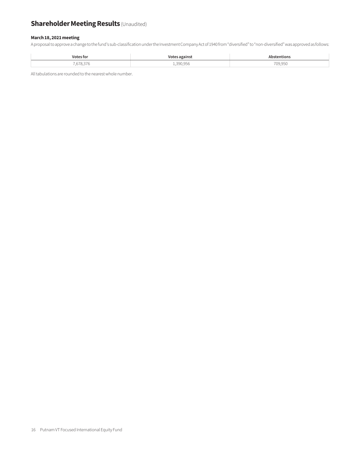# **Shareholder Meeting Results** (Unaudited)

#### **March 18, 2021 meeting**

A proposal to approve a change to the fund's sub-classification under the Investment Company Act of 1940 from "diversified" to "non-diversified" was approved as follows:

| . | .<br>____<br>. | .     |
|---|----------------|-------|
|   | ⌒⌒             | MA AH |

All tabulations are rounded to the nearest whole number.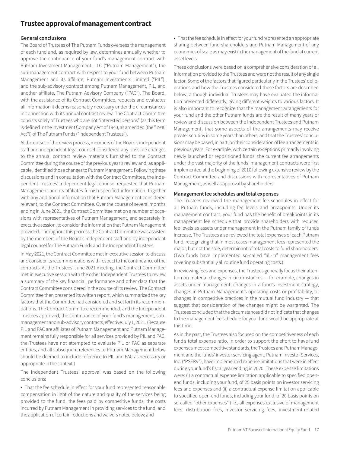# **Trustee approval of management contract**

#### **General conclusions**

The Board of Trustees of The Putnam Funds oversees the management of each fund and, as required by law, determines annually whether to approve the continuance of your fund's management contract with Putnam Investment Management, LLC ("Putnam Management"), the sub-management contract with respect to your fund between Putnam Management and its affiliate, Putnam Investments Limited ("PIL"), and the sub-advisory contract among Putnam Management, PIL, and another affiliate, The Putnam Advisory Company ("PAC"). The Board, with the assistance of its Contract Committee, requests and evaluates all information it deems reasonably necessary under the circumstances in connection with its annual contract review. The Contract Committee consists solely of Trustees who are not "interested persons" (as this term is defined in the Investment Company Act of 1940, as amended (the "1940 Act")) of The Putnam Funds ("Independent Trustees").

At the outset of the review process, members of the Board's independent staff and independent legal counsel considered any possible changes to the annual contract review materials furnished to the Contract Committee during the course of the previous year's review and, as applicable, identified those changes to Putnam Management. Following these discussions and in consultation with the Contract Committee, the Independent Trustees' independent legal counsel requested that Putnam Management and its affiliates furnish specified information, together with any additional information that Putnam Management considered relevant, to the Contract Committee. Over the course of several months ending in June 2021, the Contract Committee met on a number of occasions with representatives of Putnam Management, and separately in executive session, to consider the information that Putnam Management provided. Throughout this process, the Contract Committee was assisted by the members of the Board's independent staff and by independent legal counsel for The Putnam Funds and the Independent Trustees.

In May 2021, the Contract Committee met in executive session to discuss and consider its recommendations with respect to the continuance of the contracts. At the Trustees' June 2021 meeting, the Contract Committee met in executive session with the other Independent Trustees to review a summary of the key financial, performance and other data that the Contract Committee considered in the course of its review. The Contract Committee then presented its written report, which summarized the key factors that the Committee had considered and set forth its recommendations. The Contract Committee recommended, and the Independent Trustees approved, the continuance of your fund's management, submanagement and sub-advisory contracts, effective July 1, 2021. (Because PIL and PAC are affiliates of Putnam Management and Putnam Management remains fully responsible for all services provided by PIL and PAC, the Trustees have not attempted to evaluate PIL or PAC as separate entities, and all subsequent references to Putnam Management below should be deemed to include reference to PIL and PAC as necessary or appropriate in the context.)

The Independent Trustees' approval was based on the following conclusions:

• That the fee schedule in effect for your fund represented reasonable compensation in light of the nature and quality of the services being provided to the fund, the fees paid by competitive funds, the costs incurred by Putnam Management in providing services to the fund, and the application of certain reductions and waivers noted below; and

• That the fee schedule in effect for your fund represented an appropriate sharing between fund shareholders and Putnam Management of any economies of scale as may exist in the management of the fund at current asset levels.

These conclusions were based on a comprehensive consideration of all information provided to the Trustees and were not the result of any single factor. Some of the factors that figured particularly in the Trustees' deliberations and how the Trustees considered these factors are described below, although individual Trustees may have evaluated the information presented differently, giving different weights to various factors. It is also important to recognize that the management arrangements for your fund and the other Putnam funds are the result of many years of review and discussion between the Independent Trustees and Putnam Management, that some aspects of the arrangements may receive greater scrutiny in some years than others, and that the Trustees' conclusions may be based, in part, on their consideration of fee arrangements in previous years. For example, with certain exceptions primarily involving newly launched or repositioned funds, the current fee arrangements under the vast majority of the funds' management contracts were first implemented at the beginning of 2010 following extensive review by the Contract Committee and discussions with representatives of Putnam Management, as well as approval by shareholders.

#### **Management fee schedules and total expenses**

The Trustees reviewed the management fee schedules in effect for all Putnam funds, including fee levels and breakpoints. Under its management contract, your fund has the benefit of breakpoints in its management fee schedule that provide shareholders with reduced fee levels as assets under management in the Putnam family of funds increase. The Trustees also reviewed the total expenses of each Putnam fund, recognizing that in most cases management fees represented the major, but not the sole, determinant of total costs to fund shareholders. (Two funds have implemented so-called "all-in" management fees covering substantially all routine fund operating costs.)

In reviewing fees and expenses, the Trustees generally focus their attention on material changes in circumstances — for example, changes in assets under management, changes in a fund's investment strategy, changes in Putnam Management's operating costs or profitability, or changes in competitive practices in the mutual fund industry — that suggest that consideration of fee changes might be warranted. The Trustees concluded that the circumstances did not indicate that changes to the management fee schedule for your fund would be appropriate at this time.

As in the past, the Trustees also focused on the competitiveness of each fund's total expense ratio. In order to support the effort to have fund expenses meet competitive standards, the Trustees and Putnam Management and the funds' investor servicing agent, Putnam Investor Services, Inc. ("PSERV"), have implemented expense limitations that were in effect during your fund's fiscal year ending in 2020. These expense limitations were: (i) a contractual expense limitation applicable to specified openend funds, including your fund, of 25 basis points on investor servicing fees and expenses and (ii) a contractual expense limitation applicable to specified open-end funds, including your fund, of 20 basis points on so-called "other expenses" (i.e., all expenses exclusive of management fees, distribution fees, investor servicing fees, investment-related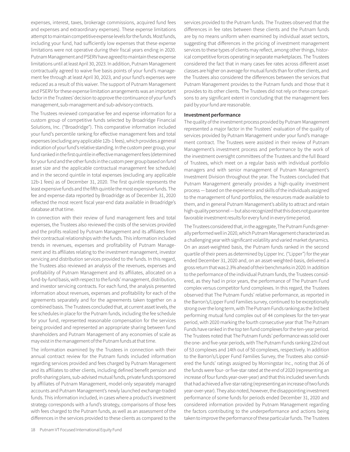expenses, interest, taxes, brokerage commissions, acquired fund fees and expenses and extraordinary expenses). These expense limitations attempt to maintain competitive expense levels for the funds. Most funds, including your fund, had sufficiently low expenses that these expense limitations were not operative during their fiscal years ending in 2020. Putnam Management and PSERV have agreed to maintain these expense limitations until at least April 30, 2023. In addition, Putnam Management contractually agreed to waive five basis points of your fund's management fee through at least April 30, 2023, and your fund's expenses were reduced as a result of this waiver. The support of Putnam Management and PSERV for these expense limitation arrangements was an important factor in the Trustees' decision to approve the continuance of your fund's management, sub-management and sub-advisory contracts.

The Trustees reviewed comparative fee and expense information for a custom group of competitive funds selected by Broadridge Financial Solutions, Inc. ("Broadridge"). This comparative information included your fund's percentile ranking for effective management fees and total expenses (excluding any applicable 12b-1 fees), which provides a general indication of your fund's relative standing. In the custom peer group, your fund ranked in the first quintile in effective management fees (determined for your fund and the other funds in the custom peer group based on fund asset size and the applicable contractual management fee schedule) and in the second quintile in total expenses (excluding any applicable 12b-1 fees) as of December 31, 2020. The first quintile represents the least expensive funds and the fifth quintile the most expensive funds. The fee and expense data reported by Broadridge as of December 31, 2020 reflected the most recent fiscal year-end data available in Broadridge's database at that time.

In connection with their review of fund management fees and total expenses, the Trustees also reviewed the costs of the services provided and the profits realized by Putnam Management and its affiliates from their contractual relationships with the funds. This information included trends in revenues, expenses and profitability of Putnam Management and its affiliates relating to the investment management, investor servicing and distribution services provided to the funds. In this regard, the Trustees also reviewed an analysis of the revenues, expenses and profitability of Putnam Management and its affiliates, allocated on a fund-by-fund basis, with respect to the funds' management, distribution, and investor servicing contracts. For each fund, the analysis presented information about revenues, expenses and profitability for each of the agreements separately and for the agreements taken together on a combined basis. The Trustees concluded that, at current asset levels, the fee schedules in place for the Putnam funds, including the fee schedule for your fund, represented reasonable compensation for the services being provided and represented an appropriate sharing between fund shareholders and Putnam Management of any economies of scale as may exist in the management of the Putnam funds at that time.

The information examined by the Trustees in connection with their annual contract review for the Putnam funds included information regarding services provided and fees charged by Putnam Management and its affiliates to other clients, including defined benefit pension and profit-sharing plans, sub-advised mutual funds, private funds sponsored by affiliates of Putnam Management, model-only separately managed accounts and Putnam Management's newly launched exchange-traded funds. This information included, in cases where a product's investment strategy corresponds with a fund's strategy, comparisons of those fees with fees charged to the Putnam funds, as well as an assessment of the differences in the services provided to these clients as compared to the services provided to the Putnam funds. The Trustees observed that the differences in fee rates between these clients and the Putnam funds are by no means uniform when examined by individual asset sectors, suggesting that differences in the pricing of investment management services to these types of clients may reflect, among other things, historical competitive forces operating in separate marketplaces. The Trustees considered the fact that in many cases fee rates across different asset classes are higher on average for mutual funds than for other clients, and the Trustees also considered the differences between the services that Putnam Management provides to the Putnam funds and those that it provides to its other clients. The Trustees did not rely on these comparisons to any significant extent in concluding that the management fees paid by your fund are reasonable.

#### **Investment performance**

The quality of the investment process provided by Putnam Management represented a major factor in the Trustees' evaluation of the quality of services provided by Putnam Management under your fund's management contract. The Trustees were assisted in their review of Putnam Management's investment process and performance by the work of the investment oversight committees of the Trustees and the full Board of Trustees, which meet on a regular basis with individual portfolio managers and with senior management of Putnam Management's Investment Division throughout the year. The Trustees concluded that Putnam Management generally provides a high-quality investment process — based on the experience and skills of the individuals assigned to the management of fund portfolios, the resources made available to them, and in general Putnam Management's ability to attract and retain high-quality personnel — but also recognized that this does not guarantee favorable investment results for every fund in every time period.

The Trustees considered that, in the aggregate, The Putnam Funds generally performed well in 2020, which Putnam Management characterized as a challenging year with significant volatility and varied market dynamics. On an asset-weighted basis, the Putnam funds ranked in the second quartile of their peers as determined by Lipper Inc. ("Lipper") for the year ended December 31, 2020 and, on an asset-weighted-basis, delivered a gross return that was 2.3% ahead of their benchmarks in 2020. In addition to the performance of the individual Putnam funds, the Trustees considered, as they had in prior years, the performance of The Putnam Fund complex versus competitor fund complexes. In this regard, the Trustees observed that The Putnam Funds' relative performance, as reported in the Barron's/Lipper Fund Families survey, continued to be exceptionally strong over the long term, with The Putnam Funds ranking as the 3rd best performing mutual fund complex out of 44 complexes for the ten-year period, with 2020 marking the fourth consecutive year that The Putnam Funds have ranked in the top ten fund complexes for the ten-year period. The Trustees noted that The Putnam Funds' performance was solid over the one- and five-year periods, with The Putnam Funds ranking 22nd out of 53 complexes and 14th out of 50 complexes, respectively. In addition to the Barron's/Lipper Fund Families Survey, the Trustees also considered the funds' ratings assigned by Morningstar Inc., noting that 26 of the funds were four- or five-star rated at the end of 2020 (representing an increase of four funds year-over-year) and that this included seven funds that had achieved a five-star rating (representing an increase of two funds year-over-year). They also noted, however, the disappointing investment performance of some funds for periods ended December 31, 2020 and considered information provided by Putnam Management regarding the factors contributing to the underperformance and actions being taken to improve the performance of these particular funds. The Trustees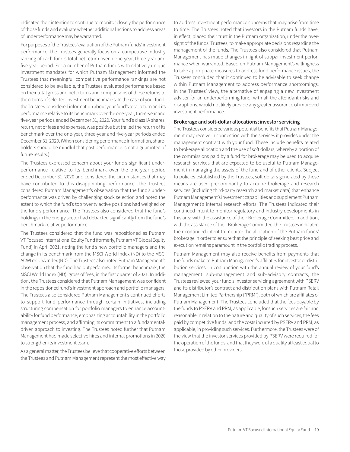indicated their intention to continue to monitor closely the performance of those funds and evaluate whether additional actions to address areas of underperformance may be warranted.

For purposes of the Trustees' evaluation of the Putnam funds' investment performance, the Trustees generally focus on a competitive industry ranking of each fund's total net return over a one-year, three-year and five-year period. For a number of Putnam funds with relatively unique investment mandates for which Putnam Management informed the Trustees that meaningful competitive performance rankings are not considered to be available, the Trustees evaluated performance based on their total gross and net returns and comparisons of those returns to the returns of selected investment benchmarks. In the case of your fund, the Trustees considered information about your fund's total return and its performance relative to its benchmark over the one-year, three-year and five-year periods ended December 31, 2020. Your fund's class IA shares' return, net of fees and expenses, was positive but trailed the return of its benchmark over the one-year, three-year and five-year periods ended December 31, 2020. (When considering performance information, shareholders should be mindful that past performance is not a guarantee of future results.)

The Trustees expressed concern about your fund's significant underperformance relative to its benchmark over the one-year period ended December 31, 2020 and considered the circumstances that may have contributed to this disappointing performance. The Trustees considered Putnam Management's observation that the fund's underperformance was driven by challenging stock selection and noted the extent to which the fund's top twenty active positions had weighed on the fund's performance. The Trustees also considered that the fund's holdings in the energy sector had detracted significantly from the fund's benchmark-relative performance.

The Trustees considered that the fund was repositioned as Putnam VT Focused International Equity Fund (formerly, Putnam VT Global Equity Fund) in April 2021, noting the fund's new portfolio managers and the change in its benchmark from the MSCI World Index (ND) to the MSCI ACWI ex USA Index (ND). The Trustees also noted Putnam Management's observation that the fund had outperformed its former benchmark, the MSCI World Index (ND), gross of fees, in the first quarter of 2021. In addition, the Trustees considered that Putnam Management was confident in the repositioned fund's investment approach and portfolio managers. The Trustees also considered Putnam Management's continued efforts to support fund performance through certain initiatives, including structuring compensation for portfolio managers to enhance accountability for fund performance, emphasizing accountability in the portfolio management process, and affirming its commitment to a fundamentaldriven approach to investing. The Trustees noted further that Putnam Management had made selective hires and internal promotions in 2020 to strengthen its investment team.

As a general matter, the Trustees believe that cooperative efforts between the Trustees and Putnam Management represent the most effective way to address investment performance concerns that may arise from time to time. The Trustees noted that investors in the Putnam funds have, in effect, placed their trust in the Putnam organization, under the oversight of the funds' Trustees, to make appropriate decisions regarding the management of the funds. The Trustees also considered that Putnam Management has made changes in light of subpar investment performance when warranted. Based on Putnam Management's willingness to take appropriate measures to address fund performance issues, the Trustees concluded that it continued to be advisable to seek change within Putnam Management to address performance shortcomings. In the Trustees' view, the alternative of engaging a new investment adviser for an underperforming fund, with all the attendant risks and disruptions, would not likely provide any greater assurance of improved investment performance.

#### **Brokerage and soft-dollar allocations; investor servicing**

The Trustees considered various potential benefits that Putnam Management may receive in connection with the services it provides under the management contract with your fund. These include benefits related to brokerage allocation and the use of soft dollars, whereby a portion of the commissions paid by a fund for brokerage may be used to acquire research services that are expected to be useful to Putnam Management in managing the assets of the fund and of other clients. Subject to policies established by the Trustees, soft dollars generated by these means are used predominantly to acquire brokerage and research services (including third-party research and market data) that enhance Putnam Management's investment capabilities and supplement Putnam Management's internal research efforts. The Trustees indicated their continued intent to monitor regulatory and industry developments in this area with the assistance of their Brokerage Committee. In addition, with the assistance of their Brokerage Committee, the Trustees indicated their continued intent to monitor the allocation of the Putnam funds' brokerage in order to ensure that the principle of seeking best price and execution remains paramount in the portfolio trading process.

Putnam Management may also receive benefits from payments that the funds make to Putnam Management's affiliates for investor or distribution services. In conjunction with the annual review of your fund's management, sub-management and sub-advisory contracts, the Trustees reviewed your fund's investor servicing agreement with PSERV and its distributor's contract and distribution plans with Putnam Retail Management Limited Partnership ("PRM"), both of which are affiliates of Putnam Management. The Trustees concluded that the fees payable by the funds to PSERV and PRM, as applicable, for such services are fair and reasonable in relation to the nature and quality of such services, the fees paid by competitive funds, and the costs incurred by PSERV and PRM, as applicable, in providing such services. Furthermore, the Trustees were of the view that the investor services provided by PSERV were required for the operation of the funds, and that they were of a quality at least equal to those provided by other providers.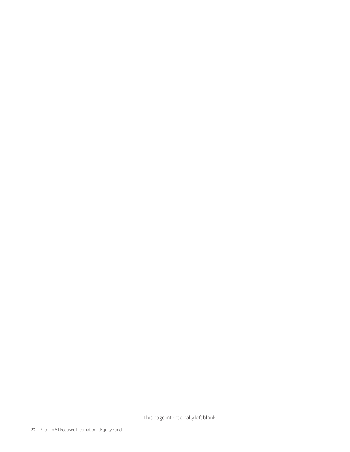This page intentionally left blank.